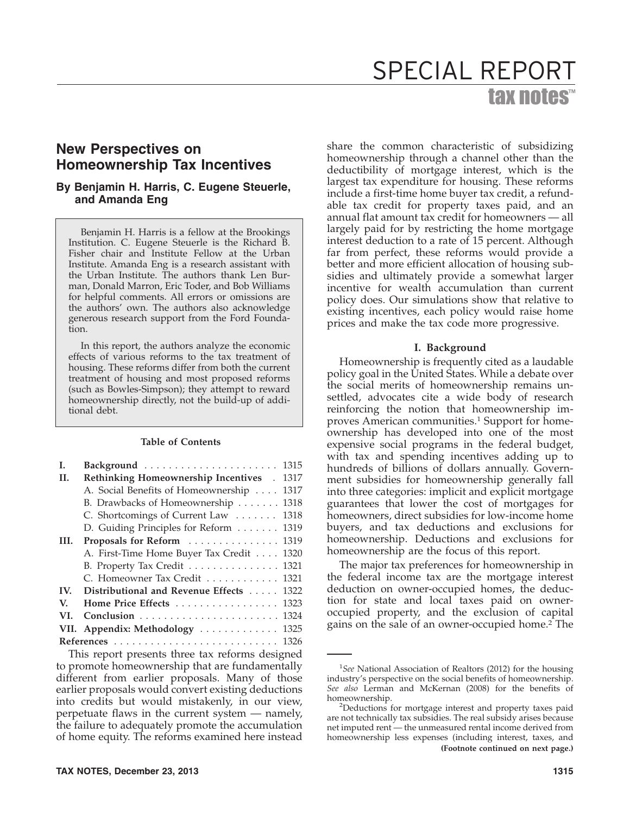# tax notes™ SPECIAL REPORT

## **New Perspectives on Homeownership Tax Incentives**

## **By Benjamin H. Harris, C. Eugene Steuerle, and Amanda Eng**

Benjamin H. Harris is a fellow at the Brookings Institution. C. Eugene Steuerle is the Richard B. Fisher chair and Institute Fellow at the Urban Institute. Amanda Eng is a research assistant with the Urban Institute. The authors thank Len Burman, Donald Marron, Eric Toder, and Bob Williams for helpful comments. All errors or omissions are the authors' own. The authors also acknowledge generous research support from the Ford Foundation.

In this report, the authors analyze the economic effects of various reforms to the tax treatment of housing. These reforms differ from both the current treatment of housing and most proposed reforms (such as Bowles-Simpson); they attempt to reward homeownership directly, not the build-up of additional debt.

## **Table of Contents**

| I.   | Background  1315                           |      |  |  |  |  |  |  |
|------|--------------------------------------------|------|--|--|--|--|--|--|
| H.   | Rethinking Homeownership Incentives . 1317 |      |  |  |  |  |  |  |
|      | A. Social Benefits of Homeownership        | 1317 |  |  |  |  |  |  |
|      | B. Drawbacks of Homeownership              | 1318 |  |  |  |  |  |  |
|      | C. Shortcomings of Current Law  1318       |      |  |  |  |  |  |  |
|      | D. Guiding Principles for Reform  1319     |      |  |  |  |  |  |  |
| III. | Proposals for Reform  1319                 |      |  |  |  |  |  |  |
|      | A. First-Time Home Buyer Tax Credit 1320   |      |  |  |  |  |  |  |
|      | B. Property Tax Credit 1321                |      |  |  |  |  |  |  |
|      | C. Homeowner Tax Credit 1321               |      |  |  |  |  |  |  |
| IV.  | Distributional and Revenue Effects 1322    |      |  |  |  |  |  |  |
| V.   | Home Price Effects  1323                   |      |  |  |  |  |  |  |
| VI.  |                                            |      |  |  |  |  |  |  |
|      | VII. Appendix: Methodology  1325           |      |  |  |  |  |  |  |
|      |                                            |      |  |  |  |  |  |  |

This report presents three tax reforms designed to promote homeownership that are fundamentally different from earlier proposals. Many of those earlier proposals would convert existing deductions into credits but would mistakenly, in our view, perpetuate flaws in the current system — namely, the failure to adequately promote the accumulation of home equity. The reforms examined here instead

share the common characteristic of subsidizing homeownership through a channel other than the deductibility of mortgage interest, which is the largest tax expenditure for housing. These reforms include a first-time home buyer tax credit, a refundable tax credit for property taxes paid, and an annual flat amount tax credit for homeowners — all largely paid for by restricting the home mortgage interest deduction to a rate of 15 percent. Although far from perfect, these reforms would provide a better and more efficient allocation of housing subsidies and ultimately provide a somewhat larger incentive for wealth accumulation than current policy does. Our simulations show that relative to existing incentives, each policy would raise home prices and make the tax code more progressive.

## **I. Background**

Homeownership is frequently cited as a laudable policy goal in the United States. While a debate over the social merits of homeownership remains unsettled, advocates cite a wide body of research reinforcing the notion that homeownership improves American communities.<sup>1</sup> Support for homeownership has developed into one of the most expensive social programs in the federal budget, with tax and spending incentives adding up to hundreds of billions of dollars annually. Government subsidies for homeownership generally fall into three categories: implicit and explicit mortgage guarantees that lower the cost of mortgages for homeowners, direct subsidies for low-income home buyers, and tax deductions and exclusions for homeownership. Deductions and exclusions for homeownership are the focus of this report.

The major tax preferences for homeownership in the federal income tax are the mortgage interest deduction on owner-occupied homes, the deduction for state and local taxes paid on owneroccupied property, and the exclusion of capital gains on the sale of an owner-occupied home.2 The

<sup>&</sup>lt;sup>1</sup>See National Association of Realtors (2012) for the housing industry's perspective on the social benefits of homeownership. *See also* Lerman and McKernan (2008) for the benefits of homeownership. <sup>2</sup>

<sup>&</sup>lt;sup>2</sup>Deductions for mortgage interest and property taxes paid are not technically tax subsidies. The real subsidy arises because net imputed rent — the unmeasured rental income derived from homeownership less expenses (including interest, taxes, and **(Footnote continued on next page.)**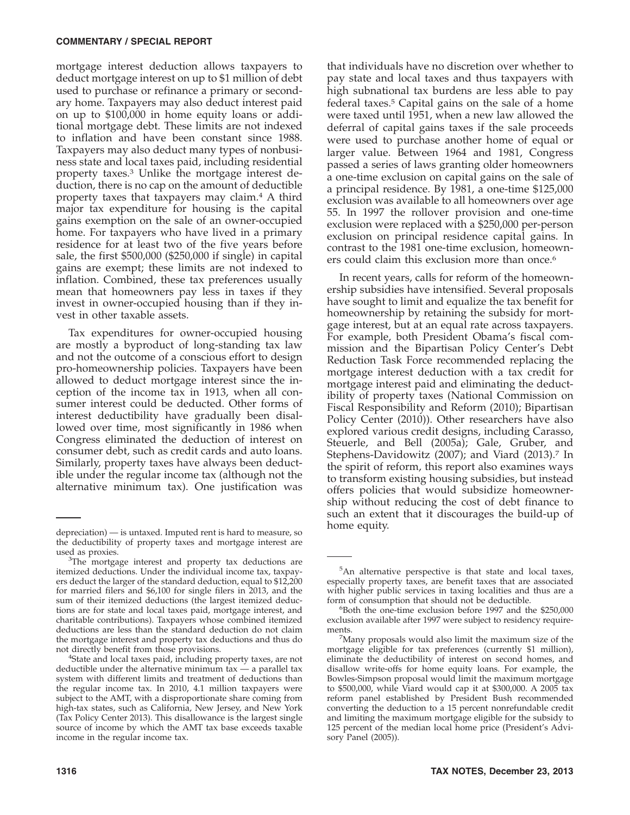mortgage interest deduction allows taxpayers to deduct mortgage interest on up to \$1 million of debt used to purchase or refinance a primary or secondary home. Taxpayers may also deduct interest paid on up to \$100,000 in home equity loans or additional mortgage debt. These limits are not indexed to inflation and have been constant since 1988. Taxpayers may also deduct many types of nonbusiness state and local taxes paid, including residential property taxes.3 Unlike the mortgage interest deduction, there is no cap on the amount of deductible property taxes that taxpayers may claim.4 A third major tax expenditure for housing is the capital gains exemption on the sale of an owner-occupied home. For taxpayers who have lived in a primary residence for at least two of the five years before sale, the first \$500,000 (\$250,000 if single) in capital gains are exempt; these limits are not indexed to inflation. Combined, these tax preferences usually mean that homeowners pay less in taxes if they invest in owner-occupied housing than if they invest in other taxable assets.

Tax expenditures for owner-occupied housing are mostly a byproduct of long-standing tax law and not the outcome of a conscious effort to design pro-homeownership policies. Taxpayers have been allowed to deduct mortgage interest since the inception of the income tax in 1913, when all consumer interest could be deducted. Other forms of interest deductibility have gradually been disallowed over time, most significantly in 1986 when Congress eliminated the deduction of interest on consumer debt, such as credit cards and auto loans. Similarly, property taxes have always been deductible under the regular income tax (although not the alternative minimum tax). One justification was

that individuals have no discretion over whether to pay state and local taxes and thus taxpayers with high subnational tax burdens are less able to pay federal taxes.5 Capital gains on the sale of a home were taxed until 1951, when a new law allowed the deferral of capital gains taxes if the sale proceeds were used to purchase another home of equal or larger value. Between 1964 and 1981, Congress passed a series of laws granting older homeowners a one-time exclusion on capital gains on the sale of a principal residence. By 1981, a one-time \$125,000 exclusion was available to all homeowners over age 55. In 1997 the rollover provision and one-time exclusion were replaced with a \$250,000 per-person exclusion on principal residence capital gains. In contrast to the 1981 one-time exclusion, homeowners could claim this exclusion more than once.<sup>6</sup>

In recent years, calls for reform of the homeownership subsidies have intensified. Several proposals have sought to limit and equalize the tax benefit for homeownership by retaining the subsidy for mortgage interest, but at an equal rate across taxpayers. For example, both President Obama's fiscal commission and the Bipartisan Policy Center's Debt Reduction Task Force recommended replacing the mortgage interest deduction with a tax credit for mortgage interest paid and eliminating the deductibility of property taxes (National Commission on Fiscal Responsibility and Reform (2010); Bipartisan Policy Center (2010)). Other researchers have also explored various credit designs, including Carasso, Steuerle, and Bell (2005a); Gale, Gruber, and Stephens-Davidowitz (2007); and Viard (2013).<sup>7</sup> In the spirit of reform, this report also examines ways to transform existing housing subsidies, but instead offers policies that would subsidize homeownership without reducing the cost of debt finance to such an extent that it discourages the build-up of

home equity. depreciation) — is untaxed. Imputed rent is hard to measure, so the deductibility of property taxes and mortgage interest are used as proxies.

<sup>&</sup>lt;sup>3</sup>The mortgage interest and property tax deductions are itemized deductions. Under the individual income tax, taxpayers deduct the larger of the standard deduction, equal to \$12,200 for married filers and \$6,100 for single filers in 2013, and the sum of their itemized deductions (the largest itemized deductions are for state and local taxes paid, mortgage interest, and charitable contributions). Taxpayers whose combined itemized deductions are less than the standard deduction do not claim the mortgage interest and property tax deductions and thus do not directly benefit from those provisions. <sup>4</sup>

<sup>&</sup>lt;sup>4</sup>State and local taxes paid, including property taxes, are not deductible under the alternative minimum tax — a parallel tax system with different limits and treatment of deductions than the regular income tax. In 2010, 4.1 million taxpayers were subject to the AMT, with a disproportionate share coming from high-tax states, such as California, New Jersey, and New York (Tax Policy Center 2013). This disallowance is the largest single source of income by which the AMT tax base exceeds taxable income in the regular income tax.

<sup>&</sup>lt;sup>5</sup>An alternative perspective is that state and local taxes, especially property taxes, are benefit taxes that are associated with higher public services in taxing localities and thus are a form of consumption that should not be deductible.

Both the one-time exclusion before 1997 and the \$250,000 exclusion available after 1997 were subject to residency requirements.

Many proposals would also limit the maximum size of the mortgage eligible for tax preferences (currently \$1 million), eliminate the deductibility of interest on second homes, and disallow write-offs for home equity loans. For example, the Bowles-Simpson proposal would limit the maximum mortgage to \$500,000, while Viard would cap it at \$300,000. A 2005 tax reform panel established by President Bush recommended converting the deduction to a 15 percent nonrefundable credit and limiting the maximum mortgage eligible for the subsidy to 125 percent of the median local home price (President's Advisory Panel (2005)).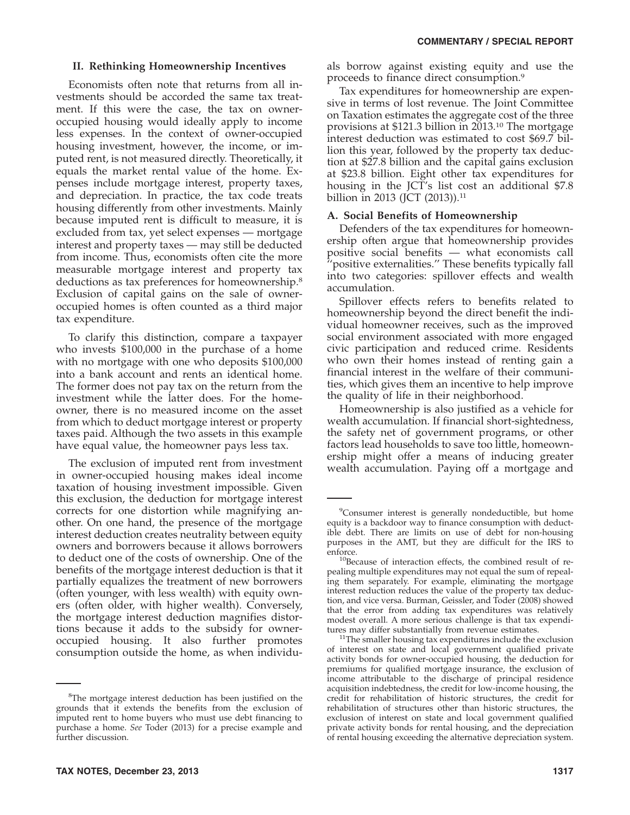## **II. Rethinking Homeownership Incentives**

Economists often note that returns from all investments should be accorded the same tax treatment. If this were the case, the tax on owneroccupied housing would ideally apply to income less expenses. In the context of owner-occupied housing investment, however, the income, or imputed rent, is not measured directly. Theoretically, it equals the market rental value of the home. Expenses include mortgage interest, property taxes, and depreciation. In practice, the tax code treats housing differently from other investments. Mainly because imputed rent is difficult to measure, it is excluded from tax, yet select expenses — mortgage interest and property taxes — may still be deducted from income. Thus, economists often cite the more measurable mortgage interest and property tax deductions as tax preferences for homeownership.8 Exclusion of capital gains on the sale of owneroccupied homes is often counted as a third major tax expenditure.

To clarify this distinction, compare a taxpayer who invests \$100,000 in the purchase of a home with no mortgage with one who deposits \$100,000 into a bank account and rents an identical home. The former does not pay tax on the return from the investment while the latter does. For the homeowner, there is no measured income on the asset from which to deduct mortgage interest or property taxes paid. Although the two assets in this example have equal value, the homeowner pays less tax.

The exclusion of imputed rent from investment in owner-occupied housing makes ideal income taxation of housing investment impossible. Given this exclusion, the deduction for mortgage interest corrects for one distortion while magnifying another. On one hand, the presence of the mortgage interest deduction creates neutrality between equity owners and borrowers because it allows borrowers to deduct one of the costs of ownership. One of the benefits of the mortgage interest deduction is that it partially equalizes the treatment of new borrowers (often younger, with less wealth) with equity owners (often older, with higher wealth). Conversely, the mortgage interest deduction magnifies distortions because it adds to the subsidy for owneroccupied housing. It also further promotes consumption outside the home, as when individu-

**TAX NOTES, December 23, 2013 1317**

als borrow against existing equity and use the proceeds to finance direct consumption.9

Tax expenditures for homeownership are expensive in terms of lost revenue. The Joint Committee on Taxation estimates the aggregate cost of the three provisions at \$121.3 billion in 2013.10 The mortgage interest deduction was estimated to cost \$69.7 billion this year, followed by the property tax deduction at \$27.8 billion and the capital gains exclusion at \$23.8 billion. Eight other tax expenditures for housing in the JCT's list cost an additional \$7.8 billion in 2013 (JCT  $(2013)$ ).<sup>11</sup>

## **A. Social Benefits of Homeownership**

Defenders of the tax expenditures for homeownership often argue that homeownership provides positive social benefits — what economists call 'positive externalities." These benefits typically fall into two categories: spillover effects and wealth accumulation.

Spillover effects refers to benefits related to homeownership beyond the direct benefit the individual homeowner receives, such as the improved social environment associated with more engaged civic participation and reduced crime. Residents who own their homes instead of renting gain a financial interest in the welfare of their communities, which gives them an incentive to help improve the quality of life in their neighborhood.

Homeownership is also justified as a vehicle for wealth accumulation. If financial short-sightedness, the safety net of government programs, or other factors lead households to save too little, homeownership might offer a means of inducing greater wealth accumulation. Paying off a mortgage and

<sup>&</sup>lt;sup>8</sup>The mortgage interest deduction has been justified on the grounds that it extends the benefits from the exclusion of imputed rent to home buyers who must use debt financing to purchase a home. *See* Toder (2013) for a precise example and further discussion.

<sup>&</sup>lt;sup>9</sup>Consumer interest is generally nondeductible, but home equity is a backdoor way to finance consumption with deductible debt. There are limits on use of debt for non-housing purposes in the AMT, but they are difficult for the IRS to

enforce.<br><sup>10</sup>Because of interaction effects, the combined result of repealing multiple expenditures may not equal the sum of repealing them separately. For example, eliminating the mortgage interest reduction reduces the value of the property tax deduction, and vice versa. Burman, Geissler, and Toder (2008) showed that the error from adding tax expenditures was relatively modest overall. A more serious challenge is that tax expendi-

 $11$ The smaller housing tax expenditures include the exclusion of interest on state and local government qualified private activity bonds for owner-occupied housing, the deduction for premiums for qualified mortgage insurance, the exclusion of income attributable to the discharge of principal residence acquisition indebtedness, the credit for low-income housing, the credit for rehabilitation of historic structures, the credit for rehabilitation of structures other than historic structures, the exclusion of interest on state and local government qualified private activity bonds for rental housing, and the depreciation of rental housing exceeding the alternative depreciation system.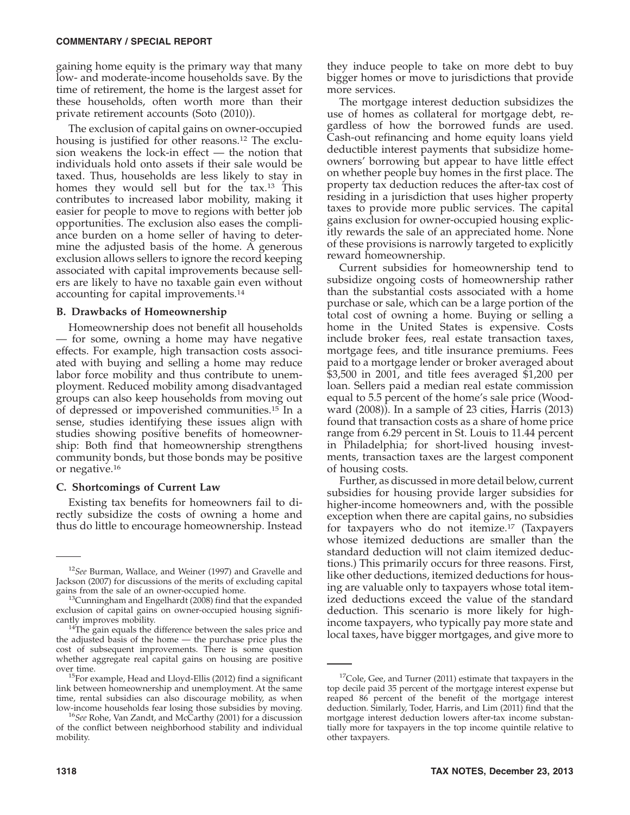#### **COMMENTARY / SPECIAL REPORT**

gaining home equity is the primary way that many low- and moderate-income households save. By the time of retirement, the home is the largest asset for these households, often worth more than their private retirement accounts (Soto (2010)).

The exclusion of capital gains on owner-occupied housing is justified for other reasons.12 The exclusion weakens the lock-in effect — the notion that individuals hold onto assets if their sale would be taxed. Thus, households are less likely to stay in homes they would sell but for the tax.<sup>13</sup> This contributes to increased labor mobility, making it easier for people to move to regions with better job opportunities. The exclusion also eases the compliance burden on a home seller of having to determine the adjusted basis of the home. A generous exclusion allows sellers to ignore the record keeping associated with capital improvements because sellers are likely to have no taxable gain even without accounting for capital improvements.14

#### **B. Drawbacks of Homeownership**

Homeownership does not benefit all households — for some, owning a home may have negative effects. For example, high transaction costs associated with buying and selling a home may reduce labor force mobility and thus contribute to unemployment. Reduced mobility among disadvantaged groups can also keep households from moving out of depressed or impoverished communities.15 In a sense, studies identifying these issues align with studies showing positive benefits of homeownership: Both find that homeownership strengthens community bonds, but those bonds may be positive or negative.16

## **C. Shortcomings of Current Law**

Existing tax benefits for homeowners fail to directly subsidize the costs of owning a home and thus do little to encourage homeownership. Instead

they induce people to take on more debt to buy bigger homes or move to jurisdictions that provide more services.

The mortgage interest deduction subsidizes the use of homes as collateral for mortgage debt, regardless of how the borrowed funds are used. Cash-out refinancing and home equity loans yield deductible interest payments that subsidize homeowners' borrowing but appear to have little effect on whether people buy homes in the first place. The property tax deduction reduces the after-tax cost of residing in a jurisdiction that uses higher property taxes to provide more public services. The capital gains exclusion for owner-occupied housing explicitly rewards the sale of an appreciated home. None of these provisions is narrowly targeted to explicitly reward homeownership.

Current subsidies for homeownership tend to subsidize ongoing costs of homeownership rather than the substantial costs associated with a home purchase or sale, which can be a large portion of the total cost of owning a home. Buying or selling a home in the United States is expensive. Costs include broker fees, real estate transaction taxes, mortgage fees, and title insurance premiums. Fees paid to a mortgage lender or broker averaged about \$3,500 in 2001, and title fees averaged \$1,200 per loan. Sellers paid a median real estate commission equal to 5.5 percent of the home's sale price (Woodward (2008)). In a sample of 23 cities, Harris (2013) found that transaction costs as a share of home price range from 6.29 percent in St. Louis to 11.44 percent in Philadelphia; for short-lived housing investments, transaction taxes are the largest component of housing costs.

Further, as discussed in more detail below, current subsidies for housing provide larger subsidies for higher-income homeowners and, with the possible exception when there are capital gains, no subsidies for taxpayers who do not itemize.17 (Taxpayers whose itemized deductions are smaller than the standard deduction will not claim itemized deductions.) This primarily occurs for three reasons. First, like other deductions, itemized deductions for housing are valuable only to taxpayers whose total itemized deductions exceed the value of the standard deduction. This scenario is more likely for highincome taxpayers, who typically pay more state and local taxes, have bigger mortgages, and give more to

<sup>12</sup>*See* Burman, Wallace, and Weiner (1997) and Gravelle and Jackson (2007) for discussions of the merits of excluding capital gains from the sale of an owner-occupied home.<br><sup>13</sup>Cunningham and Engelhardt (2008) find that the expanded

exclusion of capital gains on owner-occupied housing significantly improves mobility.

 $14$ The gain equals the difference between the sales price and the adjusted basis of the home — the purchase price plus the cost of subsequent improvements. There is some question whether aggregate real capital gains on housing are positive

over time. 15For example, Head and Lloyd-Ellis (2012) find a significant link between homeownership and unemployment. At the same time, rental subsidies can also discourage mobility, as when

low-income households fear losing those subsidies by moving. <sup>16</sup>*See* Rohe, Van Zandt, and McCarthy (2001) for a discussion of the conflict between neighborhood stability and individual mobility.

 $17$ Cole, Gee, and Turner (2011) estimate that taxpayers in the top decile paid 35 percent of the mortgage interest expense but reaped 86 percent of the benefit of the mortgage interest deduction. Similarly, Toder, Harris, and Lim (2011) find that the mortgage interest deduction lowers after-tax income substantially more for taxpayers in the top income quintile relative to other taxpayers.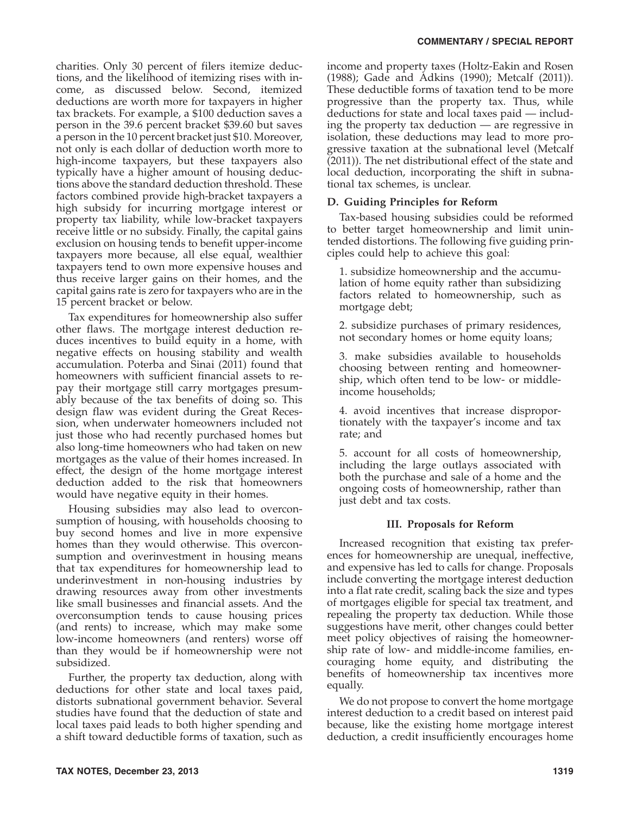charities. Only 30 percent of filers itemize deductions, and the likelihood of itemizing rises with income, as discussed below. Second, itemized deductions are worth more for taxpayers in higher tax brackets. For example, a \$100 deduction saves a person in the 39.6 percent bracket \$39.60 but saves a person in the 10 percent bracket just \$10. Moreover, not only is each dollar of deduction worth more to high-income taxpayers, but these taxpayers also typically have a higher amount of housing deductions above the standard deduction threshold. These factors combined provide high-bracket taxpayers a high subsidy for incurring mortgage interest or property tax liability, while low-bracket taxpayers receive little or no subsidy. Finally, the capital gains exclusion on housing tends to benefit upper-income taxpayers more because, all else equal, wealthier taxpayers tend to own more expensive houses and thus receive larger gains on their homes, and the capital gains rate is zero for taxpayers who are in the 15 percent bracket or below.

Tax expenditures for homeownership also suffer other flaws. The mortgage interest deduction reduces incentives to build equity in a home, with negative effects on housing stability and wealth accumulation. Poterba and Sinai (2011) found that homeowners with sufficient financial assets to repay their mortgage still carry mortgages presumably because of the tax benefits of doing so. This design flaw was evident during the Great Recession, when underwater homeowners included not just those who had recently purchased homes but also long-time homeowners who had taken on new mortgages as the value of their homes increased. In effect, the design of the home mortgage interest deduction added to the risk that homeowners would have negative equity in their homes.

Housing subsidies may also lead to overconsumption of housing, with households choosing to buy second homes and live in more expensive homes than they would otherwise. This overconsumption and overinvestment in housing means that tax expenditures for homeownership lead to underinvestment in non-housing industries by drawing resources away from other investments like small businesses and financial assets. And the overconsumption tends to cause housing prices (and rents) to increase, which may make some low-income homeowners (and renters) worse off than they would be if homeownership were not subsidized.

Further, the property tax deduction, along with deductions for other state and local taxes paid, distorts subnational government behavior. Several studies have found that the deduction of state and local taxes paid leads to both higher spending and a shift toward deductible forms of taxation, such as

income and property taxes (Holtz-Eakin and Rosen (1988); Gade and Adkins (1990); Metcalf (2011)). These deductible forms of taxation tend to be more progressive than the property tax. Thus, while deductions for state and local taxes paid — including the property tax deduction — are regressive in isolation, these deductions may lead to more progressive taxation at the subnational level (Metcalf (2011)). The net distributional effect of the state and local deduction, incorporating the shift in subnational tax schemes, is unclear.

## **D. Guiding Principles for Reform**

Tax-based housing subsidies could be reformed to better target homeownership and limit unintended distortions. The following five guiding principles could help to achieve this goal:

1. subsidize homeownership and the accumulation of home equity rather than subsidizing factors related to homeownership, such as mortgage debt;

2. subsidize purchases of primary residences, not secondary homes or home equity loans;

3. make subsidies available to households choosing between renting and homeownership, which often tend to be low- or middleincome households;

4. avoid incentives that increase disproportionately with the taxpayer's income and tax rate; and

5. account for all costs of homeownership, including the large outlays associated with both the purchase and sale of a home and the ongoing costs of homeownership, rather than just debt and tax costs.

## **III. Proposals for Reform**

Increased recognition that existing tax preferences for homeownership are unequal, ineffective, and expensive has led to calls for change. Proposals include converting the mortgage interest deduction into a flat rate credit, scaling back the size and types of mortgages eligible for special tax treatment, and repealing the property tax deduction. While those suggestions have merit, other changes could better meet policy objectives of raising the homeownership rate of low- and middle-income families, encouraging home equity, and distributing the benefits of homeownership tax incentives more equally.

We do not propose to convert the home mortgage interest deduction to a credit based on interest paid because, like the existing home mortgage interest deduction, a credit insufficiently encourages home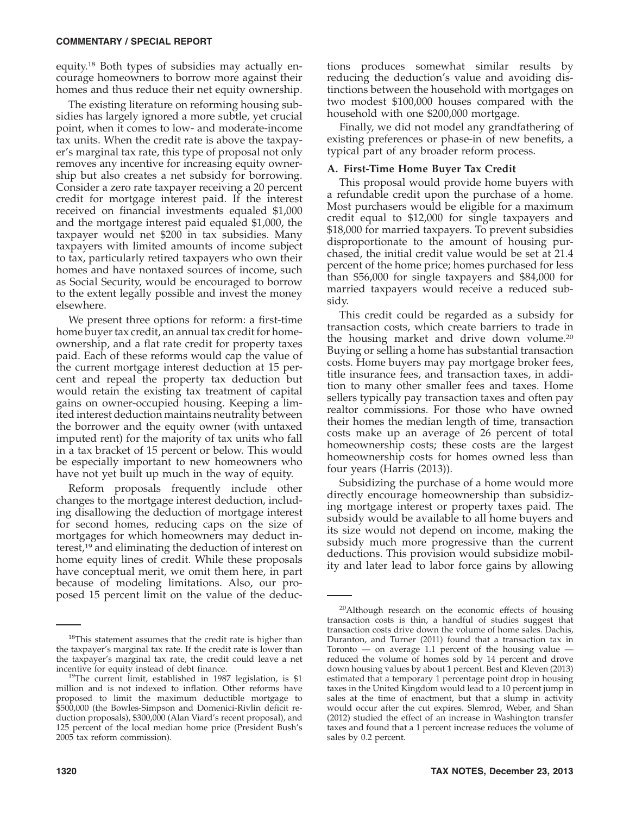equity.18 Both types of subsidies may actually encourage homeowners to borrow more against their homes and thus reduce their net equity ownership.

The existing literature on reforming housing subsidies has largely ignored a more subtle, yet crucial point, when it comes to low- and moderate-income tax units. When the credit rate is above the taxpayer's marginal tax rate, this type of proposal not only removes any incentive for increasing equity ownership but also creates a net subsidy for borrowing. Consider a zero rate taxpayer receiving a 20 percent credit for mortgage interest paid. If the interest received on financial investments equaled \$1,000 and the mortgage interest paid equaled \$1,000, the taxpayer would net \$200 in tax subsidies. Many taxpayers with limited amounts of income subject to tax, particularly retired taxpayers who own their homes and have nontaxed sources of income, such as Social Security, would be encouraged to borrow to the extent legally possible and invest the money elsewhere.

We present three options for reform: a first-time home buyer tax credit, an annual tax credit for homeownership, and a flat rate credit for property taxes paid. Each of these reforms would cap the value of the current mortgage interest deduction at 15 percent and repeal the property tax deduction but would retain the existing tax treatment of capital gains on owner-occupied housing. Keeping a limited interest deduction maintains neutrality between the borrower and the equity owner (with untaxed imputed rent) for the majority of tax units who fall in a tax bracket of 15 percent or below. This would be especially important to new homeowners who have not yet built up much in the way of equity.

Reform proposals frequently include other changes to the mortgage interest deduction, including disallowing the deduction of mortgage interest for second homes, reducing caps on the size of mortgages for which homeowners may deduct interest,19 and eliminating the deduction of interest on home equity lines of credit. While these proposals have conceptual merit, we omit them here, in part because of modeling limitations. Also, our proposed 15 percent limit on the value of the deductions produces somewhat similar results by reducing the deduction's value and avoiding distinctions between the household with mortgages on two modest \$100,000 houses compared with the household with one \$200,000 mortgage.

Finally, we did not model any grandfathering of existing preferences or phase-in of new benefits, a typical part of any broader reform process.

## **A. First-Time Home Buyer Tax Credit**

This proposal would provide home buyers with a refundable credit upon the purchase of a home. Most purchasers would be eligible for a maximum credit equal to \$12,000 for single taxpayers and \$18,000 for married taxpayers. To prevent subsidies disproportionate to the amount of housing purchased, the initial credit value would be set at 21.4 percent of the home price; homes purchased for less than \$56,000 for single taxpayers and \$84,000 for married taxpayers would receive a reduced subsidy.

This credit could be regarded as a subsidy for transaction costs, which create barriers to trade in the housing market and drive down volume.20 Buying or selling a home has substantial transaction costs. Home buyers may pay mortgage broker fees, title insurance fees, and transaction taxes, in addition to many other smaller fees and taxes. Home sellers typically pay transaction taxes and often pay realtor commissions. For those who have owned their homes the median length of time, transaction costs make up an average of 26 percent of total homeownership costs; these costs are the largest homeownership costs for homes owned less than four years (Harris (2013)).

Subsidizing the purchase of a home would more directly encourage homeownership than subsidizing mortgage interest or property taxes paid. The subsidy would be available to all home buyers and its size would not depend on income, making the subsidy much more progressive than the current deductions. This provision would subsidize mobility and later lead to labor force gains by allowing

<sup>&</sup>lt;sup>18</sup>This statement assumes that the credit rate is higher than the taxpayer's marginal tax rate. If the credit rate is lower than the taxpayer's marginal tax rate, the credit could leave a net incentive for equity instead of debt finance.<br><sup>19</sup>The current limit, established in 1987 legislation, is \$1

million and is not indexed to inflation. Other reforms have proposed to limit the maximum deductible mortgage to \$500,000 (the Bowles-Simpson and Domenici-Rivlin deficit reduction proposals), \$300,000 (Alan Viard's recent proposal), and 125 percent of the local median home price (President Bush's 2005 tax reform commission).

<sup>20</sup>Although research on the economic effects of housing transaction costs is thin, a handful of studies suggest that transaction costs drive down the volume of home sales. Dachis, Duranton, and Turner (2011) found that a transaction tax in Toronto — on average 1.1 percent of the housing value reduced the volume of homes sold by 14 percent and drove down housing values by about 1 percent. Best and Kleven (2013) estimated that a temporary 1 percentage point drop in housing taxes in the United Kingdom would lead to a 10 percent jump in sales at the time of enactment, but that a slump in activity would occur after the cut expires. Slemrod, Weber, and Shan (2012) studied the effect of an increase in Washington transfer taxes and found that a 1 percent increase reduces the volume of sales by 0.2 percent.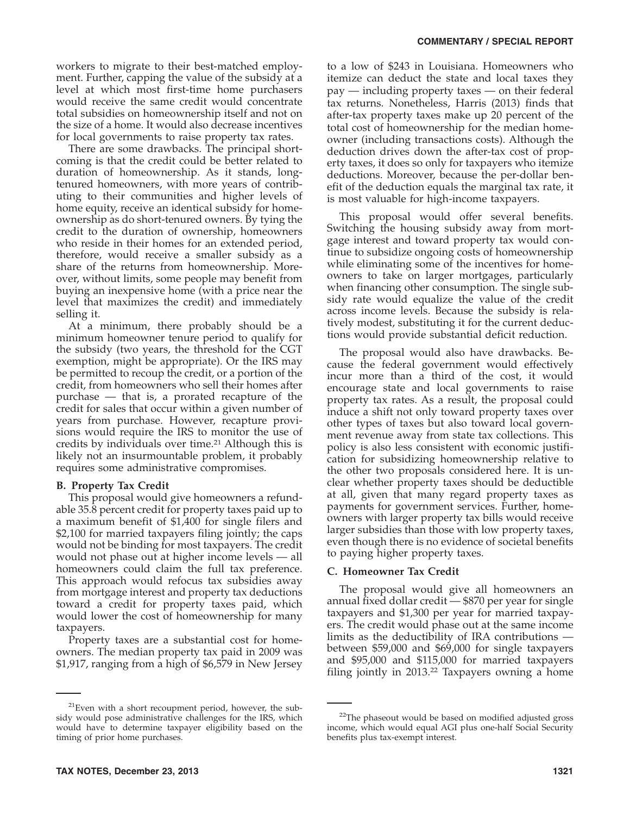workers to migrate to their best-matched employment. Further, capping the value of the subsidy at a level at which most first-time home purchasers would receive the same credit would concentrate total subsidies on homeownership itself and not on the size of a home. It would also decrease incentives for local governments to raise property tax rates.

There are some drawbacks. The principal shortcoming is that the credit could be better related to duration of homeownership. As it stands, longtenured homeowners, with more years of contributing to their communities and higher levels of home equity, receive an identical subsidy for homeownership as do short-tenured owners. By tying the credit to the duration of ownership, homeowners who reside in their homes for an extended period, therefore, would receive a smaller subsidy as a share of the returns from homeownership. Moreover, without limits, some people may benefit from buying an inexpensive home (with a price near the level that maximizes the credit) and immediately selling it.

At a minimum, there probably should be a minimum homeowner tenure period to qualify for the subsidy (two years, the threshold for the CGT exemption, might be appropriate). Or the IRS may be permitted to recoup the credit, or a portion of the credit, from homeowners who sell their homes after purchase — that is, a prorated recapture of the credit for sales that occur within a given number of years from purchase. However, recapture provisions would require the IRS to monitor the use of credits by individuals over time.<sup>21</sup> Although this is likely not an insurmountable problem, it probably requires some administrative compromises.

## **B. Property Tax Credit**

This proposal would give homeowners a refundable 35.8 percent credit for property taxes paid up to a maximum benefit of \$1,400 for single filers and \$2,100 for married taxpayers filing jointly; the caps would not be binding for most taxpayers. The credit would not phase out at higher income levels — all homeowners could claim the full tax preference. This approach would refocus tax subsidies away from mortgage interest and property tax deductions toward a credit for property taxes paid, which would lower the cost of homeownership for many taxpayers.

Property taxes are a substantial cost for homeowners. The median property tax paid in 2009 was \$1,917, ranging from a high of \$6,579 in New Jersey

to a low of \$243 in Louisiana. Homeowners who itemize can deduct the state and local taxes they pay — including property taxes — on their federal tax returns. Nonetheless, Harris (2013) finds that after-tax property taxes make up 20 percent of the total cost of homeownership for the median homeowner (including transactions costs). Although the deduction drives down the after-tax cost of property taxes, it does so only for taxpayers who itemize deductions. Moreover, because the per-dollar benefit of the deduction equals the marginal tax rate, it is most valuable for high-income taxpayers.

This proposal would offer several benefits. Switching the housing subsidy away from mortgage interest and toward property tax would continue to subsidize ongoing costs of homeownership while eliminating some of the incentives for homeowners to take on larger mortgages, particularly when financing other consumption. The single subsidy rate would equalize the value of the credit across income levels. Because the subsidy is relatively modest, substituting it for the current deductions would provide substantial deficit reduction.

The proposal would also have drawbacks. Because the federal government would effectively incur more than a third of the cost, it would encourage state and local governments to raise property tax rates. As a result, the proposal could induce a shift not only toward property taxes over other types of taxes but also toward local government revenue away from state tax collections. This policy is also less consistent with economic justification for subsidizing homeownership relative to the other two proposals considered here. It is unclear whether property taxes should be deductible at all, given that many regard property taxes as payments for government services. Further, homeowners with larger property tax bills would receive larger subsidies than those with low property taxes, even though there is no evidence of societal benefits to paying higher property taxes.

#### **C. Homeowner Tax Credit**

The proposal would give all homeowners an annual fixed dollar credit — \$870 per year for single taxpayers and \$1,300 per year for married taxpayers. The credit would phase out at the same income limits as the deductibility of IRA contributions between \$59,000 and \$69,000 for single taxpayers and \$95,000 and \$115,000 for married taxpayers filing jointly in 2013.22 Taxpayers owning a home

<sup>21</sup>Even with a short recoupment period, however, the subsidy would pose administrative challenges for the IRS, which would have to determine taxpayer eligibility based on the timing of prior home purchases.

<sup>&</sup>lt;sup>22</sup>The phaseout would be based on modified adjusted gross income, which would equal AGI plus one-half Social Security benefits plus tax-exempt interest.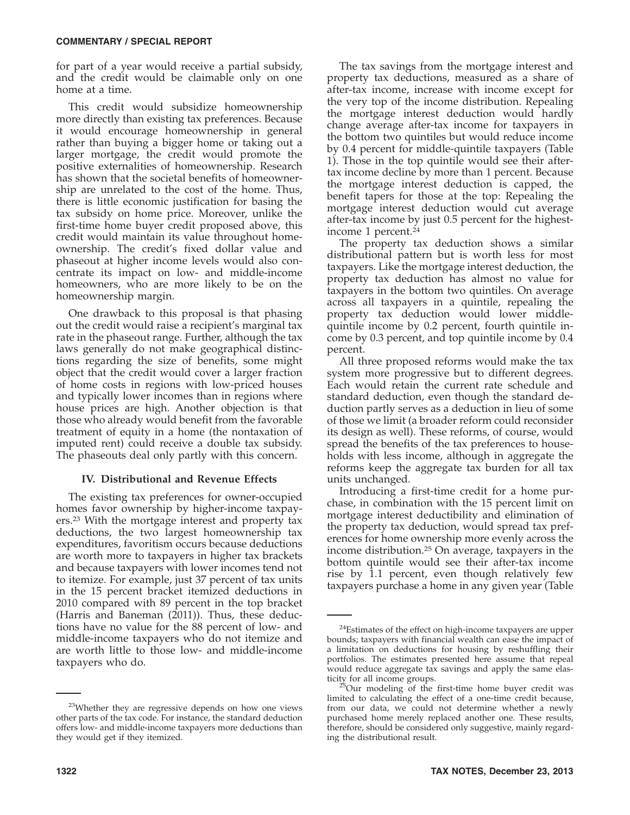for part of a year would receive a partial subsidy, and the credit would be claimable only on one home at a time.

This credit would subsidize homeownership more directly than existing tax preferences. Because it would encourage homeownership in general rather than buying a bigger home or taking out a larger mortgage, the credit would promote the positive externalities of homeownership. Research has shown that the societal benefits of homeownership are unrelated to the cost of the home. Thus, there is little economic justification for basing the tax subsidy on home price. Moreover, unlike the first-time home buyer credit proposed above, this credit would maintain its value throughout homeownership. The credit's fixed dollar value and phaseout at higher income levels would also concentrate its impact on low- and middle-income homeowners, who are more likely to be on the homeownership margin.

One drawback to this proposal is that phasing out the credit would raise a recipient's marginal tax rate in the phaseout range. Further, although the tax laws generally do not make geographical distinctions regarding the size of benefits, some might object that the credit would cover a larger fraction of home costs in regions with low-priced houses and typically lower incomes than in regions where house prices are high. Another objection is that those who already would benefit from the favorable treatment of equity in a home (the nontaxation of imputed rent) could receive a double tax subsidy. The phaseouts deal only partly with this concern.

## **IV. Distributional and Revenue Effects**

The existing tax preferences for owner-occupied homes favor ownership by higher-income taxpayers.23 With the mortgage interest and property tax deductions, the two largest homeownership tax expenditures, favoritism occurs because deductions are worth more to taxpayers in higher tax brackets and because taxpayers with lower incomes tend not to itemize. For example, just 37 percent of tax units in the 15 percent bracket itemized deductions in 2010 compared with 89 percent in the top bracket (Harris and Baneman (2011)). Thus, these deductions have no value for the 88 percent of low- and middle-income taxpayers who do not itemize and are worth little to those low- and middle-income taxpayers who do.

The tax savings from the mortgage interest and property tax deductions, measured as a share of after-tax income, increase with income except for the very top of the income distribution. Repealing the mortgage interest deduction would hardly change average after-tax income for taxpayers in the bottom two quintiles but would reduce income by 0.4 percent for middle-quintile taxpayers (Table 1). Those in the top quintile would see their aftertax income decline by more than 1 percent. Because the mortgage interest deduction is capped, the benefit tapers for those at the top: Repealing the mortgage interest deduction would cut average after-tax income by just 0.5 percent for the highestincome 1 percent.24

The property tax deduction shows a similar distributional pattern but is worth less for most taxpayers. Like the mortgage interest deduction, the property tax deduction has almost no value for taxpayers in the bottom two quintiles. On average across all taxpayers in a quintile, repealing the property tax deduction would lower middlequintile income by 0.2 percent, fourth quintile income by 0.3 percent, and top quintile income by 0.4 percent.

All three proposed reforms would make the tax system more progressive but to different degrees. Each would retain the current rate schedule and standard deduction, even though the standard deduction partly serves as a deduction in lieu of some of those we limit (a broader reform could reconsider its design as well). These reforms, of course, would spread the benefits of the tax preferences to households with less income, although in aggregate the reforms keep the aggregate tax burden for all tax units unchanged.

Introducing a first-time credit for a home purchase, in combination with the 15 percent limit on mortgage interest deductibility and elimination of the property tax deduction, would spread tax preferences for home ownership more evenly across the income distribution.25 On average, taxpayers in the bottom quintile would see their after-tax income rise by 1.1 percent, even though relatively few taxpayers purchase a home in any given year (Table

<sup>23</sup>Whether they are regressive depends on how one views other parts of the tax code. For instance, the standard deduction offers low- and middle-income taxpayers more deductions than they would get if they itemized.

<sup>&</sup>lt;sup>24</sup>Estimates of the effect on high-income taxpayers are upper bounds; taxpayers with financial wealth can ease the impact of a limitation on deductions for housing by reshuffling their portfolios. The estimates presented here assume that repeal would reduce aggregate tax savings and apply the same elasticity for all income groups.

 $25$ Our modeling of the first-time home buyer credit was limited to calculating the effect of a one-time credit because, from our data, we could not determine whether a newly purchased home merely replaced another one. These results, therefore, should be considered only suggestive, mainly regarding the distributional result.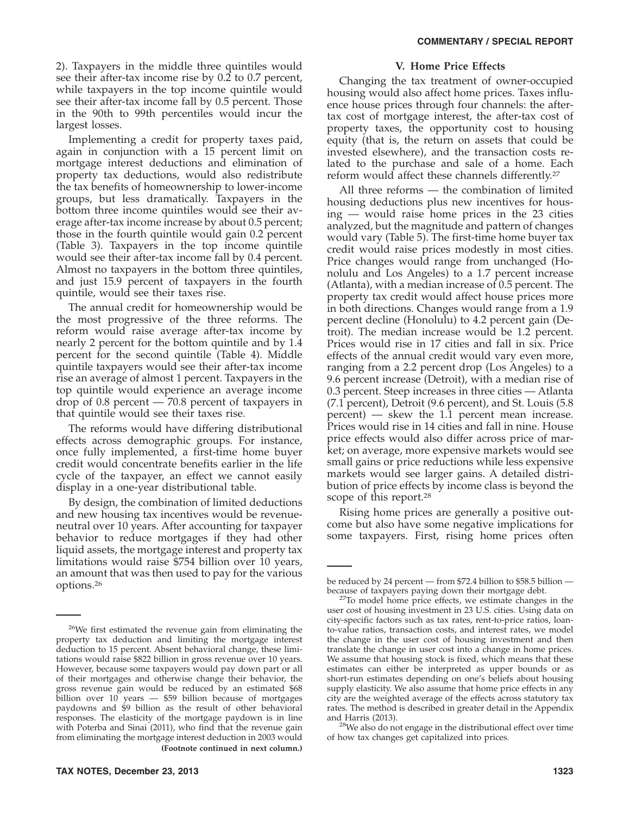2). Taxpayers in the middle three quintiles would see their after-tax income rise by 0.2 to 0.7 percent, while taxpayers in the top income quintile would see their after-tax income fall by 0.5 percent. Those in the 90th to 99th percentiles would incur the largest losses.

Implementing a credit for property taxes paid, again in conjunction with a 15 percent limit on mortgage interest deductions and elimination of property tax deductions, would also redistribute the tax benefits of homeownership to lower-income groups, but less dramatically. Taxpayers in the bottom three income quintiles would see their average after-tax income increase by about 0.5 percent; those in the fourth quintile would gain 0.2 percent (Table 3). Taxpayers in the top income quintile would see their after-tax income fall by 0.4 percent. Almost no taxpayers in the bottom three quintiles, and just 15.9 percent of taxpayers in the fourth quintile, would see their taxes rise.

The annual credit for homeownership would be the most progressive of the three reforms. The reform would raise average after-tax income by nearly 2 percent for the bottom quintile and by 1.4 percent for the second quintile (Table 4). Middle quintile taxpayers would see their after-tax income rise an average of almost 1 percent. Taxpayers in the top quintile would experience an average income drop of 0.8 percent — 70.8 percent of taxpayers in that quintile would see their taxes rise.

The reforms would have differing distributional effects across demographic groups. For instance, once fully implemented, a first-time home buyer credit would concentrate benefits earlier in the life cycle of the taxpayer, an effect we cannot easily display in a one-year distributional table.

By design, the combination of limited deductions and new housing tax incentives would be revenueneutral over 10 years. After accounting for taxpayer behavior to reduce mortgages if they had other liquid assets, the mortgage interest and property tax limitations would raise \$754 billion over 10 years, an amount that was then used to pay for the various options.26

#### **V. Home Price Effects**

Changing the tax treatment of owner-occupied housing would also affect home prices. Taxes influence house prices through four channels: the aftertax cost of mortgage interest, the after-tax cost of property taxes, the opportunity cost to housing equity (that is, the return on assets that could be invested elsewhere), and the transaction costs related to the purchase and sale of a home. Each reform would affect these channels differently.27

All three reforms — the combination of limited housing deductions plus new incentives for housing — would raise home prices in the 23 cities analyzed, but the magnitude and pattern of changes would vary (Table 5). The first-time home buyer tax credit would raise prices modestly in most cities. Price changes would range from unchanged (Honolulu and Los Angeles) to a 1.7 percent increase (Atlanta), with a median increase of 0.5 percent. The property tax credit would affect house prices more in both directions. Changes would range from a 1.9 percent decline (Honolulu) to 4.2 percent gain (Detroit). The median increase would be 1.2 percent. Prices would rise in 17 cities and fall in six. Price effects of the annual credit would vary even more, ranging from a 2.2 percent drop (Los Angeles) to a 9.6 percent increase (Detroit), with a median rise of 0.3 percent. Steep increases in three cities — Atlanta (7.1 percent), Detroit (9.6 percent), and St. Louis (5.8 percent) — skew the 1.1 percent mean increase. Prices would rise in 14 cities and fall in nine. House price effects would also differ across price of market; on average, more expensive markets would see small gains or price reductions while less expensive markets would see larger gains. A detailed distribution of price effects by income class is beyond the scope of this report.28

Rising home prices are generally a positive outcome but also have some negative implications for some taxpayers. First, rising home prices often

<sup>28</sup>We also do not engage in the distributional effect over time of how tax changes get capitalized into prices.

<sup>26</sup>We first estimated the revenue gain from eliminating the property tax deduction and limiting the mortgage interest deduction to 15 percent. Absent behavioral change, these limitations would raise \$822 billion in gross revenue over 10 years. However, because some taxpayers would pay down part or all of their mortgages and otherwise change their behavior, the gross revenue gain would be reduced by an estimated \$68 billion over 10 years — \$59 billion because of mortgages paydowns and \$9 billion as the result of other behavioral responses. The elasticity of the mortgage paydown is in line with Poterba and Sinai (2011), who find that the revenue gain from eliminating the mortgage interest deduction in 2003 would **(Footnote continued in next column.)**

be reduced by 24 percent — from \$72.4 billion to \$58.5 billion —

because of taxpayers paying down their mortgage debt. 27To model home price effects, we estimate changes in the user cost of housing investment in 23 U.S. cities. Using data on city-specific factors such as tax rates, rent-to-price ratios, loanto-value ratios, transaction costs, and interest rates, we model the change in the user cost of housing investment and then translate the change in user cost into a change in home prices. We assume that housing stock is fixed, which means that these estimates can either be interpreted as upper bounds or as short-run estimates depending on one's beliefs about housing supply elasticity. We also assume that home price effects in any city are the weighted average of the effects across statutory tax rates. The method is described in greater detail in the Appendix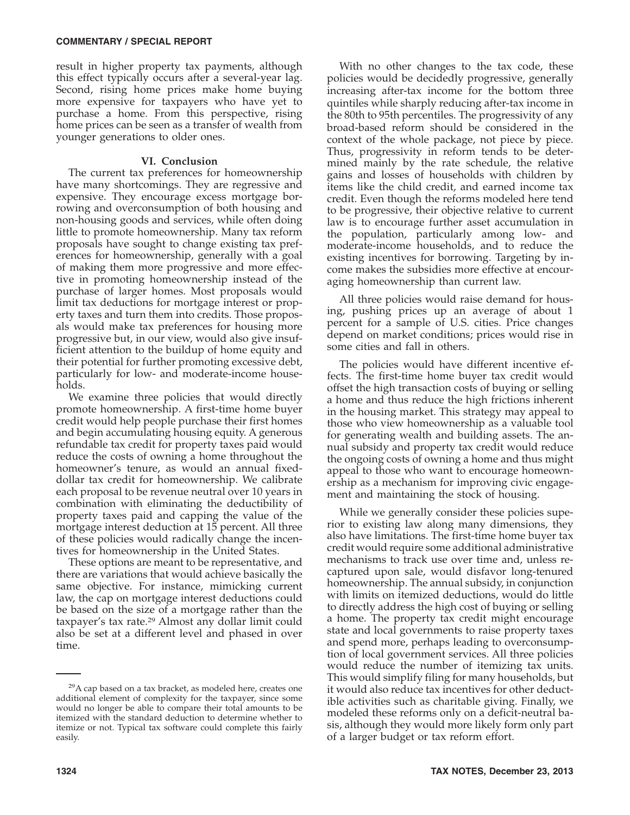#### **COMMENTARY / SPECIAL REPORT**

result in higher property tax payments, although this effect typically occurs after a several-year lag. Second, rising home prices make home buying more expensive for taxpayers who have yet to purchase a home. From this perspective, rising home prices can be seen as a transfer of wealth from younger generations to older ones.

## **VI. Conclusion**

The current tax preferences for homeownership have many shortcomings. They are regressive and expensive. They encourage excess mortgage borrowing and overconsumption of both housing and non-housing goods and services, while often doing little to promote homeownership. Many tax reform proposals have sought to change existing tax preferences for homeownership, generally with a goal of making them more progressive and more effective in promoting homeownership instead of the purchase of larger homes. Most proposals would limit tax deductions for mortgage interest or property taxes and turn them into credits. Those proposals would make tax preferences for housing more progressive but, in our view, would also give insufficient attention to the buildup of home equity and their potential for further promoting excessive debt, particularly for low- and moderate-income households.

We examine three policies that would directly promote homeownership. A first-time home buyer credit would help people purchase their first homes and begin accumulating housing equity. A generous refundable tax credit for property taxes paid would reduce the costs of owning a home throughout the homeowner's tenure, as would an annual fixeddollar tax credit for homeownership. We calibrate each proposal to be revenue neutral over 10 years in combination with eliminating the deductibility of property taxes paid and capping the value of the mortgage interest deduction at 15 percent. All three of these policies would radically change the incentives for homeownership in the United States.

These options are meant to be representative, and there are variations that would achieve basically the same objective. For instance, mimicking current law, the cap on mortgage interest deductions could be based on the size of a mortgage rather than the taxpayer's tax rate.29 Almost any dollar limit could also be set at a different level and phased in over time.

With no other changes to the tax code, these policies would be decidedly progressive, generally increasing after-tax income for the bottom three quintiles while sharply reducing after-tax income in the 80th to 95th percentiles. The progressivity of any broad-based reform should be considered in the context of the whole package, not piece by piece. Thus, progressivity in reform tends to be determined mainly by the rate schedule, the relative gains and losses of households with children by items like the child credit, and earned income tax credit. Even though the reforms modeled here tend to be progressive, their objective relative to current law is to encourage further asset accumulation in the population, particularly among low- and moderate-income households, and to reduce the existing incentives for borrowing. Targeting by income makes the subsidies more effective at encouraging homeownership than current law.

All three policies would raise demand for housing, pushing prices up an average of about 1 percent for a sample of U.S. cities. Price changes depend on market conditions; prices would rise in some cities and fall in others.

The policies would have different incentive effects. The first-time home buyer tax credit would offset the high transaction costs of buying or selling a home and thus reduce the high frictions inherent in the housing market. This strategy may appeal to those who view homeownership as a valuable tool for generating wealth and building assets. The annual subsidy and property tax credit would reduce the ongoing costs of owning a home and thus might appeal to those who want to encourage homeownership as a mechanism for improving civic engagement and maintaining the stock of housing.

While we generally consider these policies superior to existing law along many dimensions, they also have limitations. The first-time home buyer tax credit would require some additional administrative mechanisms to track use over time and, unless recaptured upon sale, would disfavor long-tenured homeownership. The annual subsidy, in conjunction with limits on itemized deductions, would do little to directly address the high cost of buying or selling a home. The property tax credit might encourage state and local governments to raise property taxes and spend more, perhaps leading to overconsumption of local government services. All three policies would reduce the number of itemizing tax units. This would simplify filing for many households, but it would also reduce tax incentives for other deductible activities such as charitable giving. Finally, we modeled these reforms only on a deficit-neutral basis, although they would more likely form only part of a larger budget or tax reform effort.

 $29A$  cap based on a tax bracket, as modeled here, creates one additional element of complexity for the taxpayer, since some would no longer be able to compare their total amounts to be itemized with the standard deduction to determine whether to itemize or not. Typical tax software could complete this fairly easily.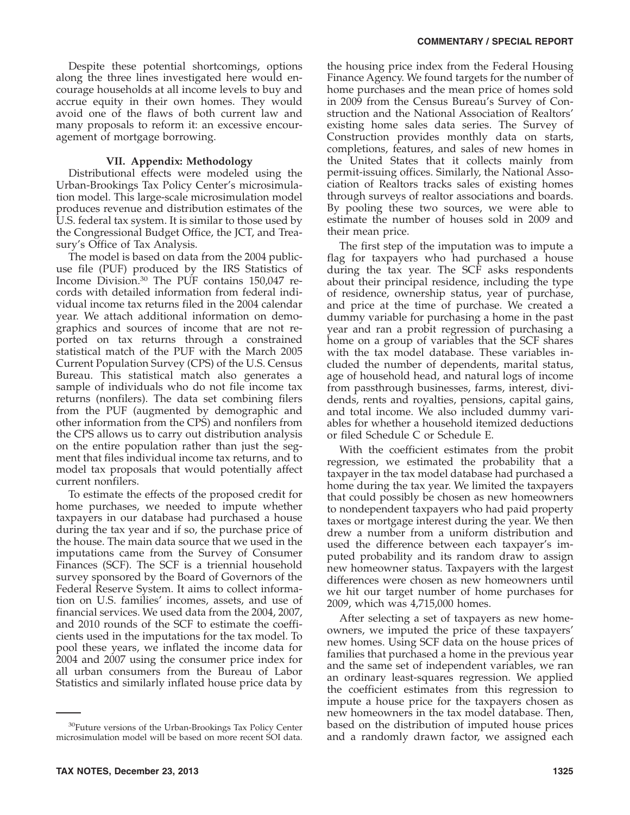## **VII. Appendix: Methodology**

Distributional effects were modeled using the Urban-Brookings Tax Policy Center's microsimulation model. This large-scale microsimulation model produces revenue and distribution estimates of the U.S. federal tax system. It is similar to those used by the Congressional Budget Office, the JCT, and Treasury's Office of Tax Analysis.

The model is based on data from the 2004 publicuse file (PUF) produced by the IRS Statistics of Income Division.30 The PUF contains 150,047 records with detailed information from federal individual income tax returns filed in the 2004 calendar year. We attach additional information on demographics and sources of income that are not reported on tax returns through a constrained statistical match of the PUF with the March 2005 Current Population Survey (CPS) of the U.S. Census Bureau. This statistical match also generates a sample of individuals who do not file income tax returns (nonfilers). The data set combining filers from the PUF (augmented by demographic and other information from the CPS) and nonfilers from the CPS allows us to carry out distribution analysis on the entire population rather than just the segment that files individual income tax returns, and to model tax proposals that would potentially affect current nonfilers.

To estimate the effects of the proposed credit for home purchases, we needed to impute whether taxpayers in our database had purchased a house during the tax year and if so, the purchase price of the house. The main data source that we used in the imputations came from the Survey of Consumer Finances (SCF). The SCF is a triennial household survey sponsored by the Board of Governors of the Federal Reserve System. It aims to collect information on U.S. families' incomes, assets, and use of financial services. We used data from the 2004, 2007, and 2010 rounds of the SCF to estimate the coefficients used in the imputations for the tax model. To pool these years, we inflated the income data for 2004 and 2007 using the consumer price index for all urban consumers from the Bureau of Labor Statistics and similarly inflated house price data by

the housing price index from the Federal Housing Finance Agency. We found targets for the number of home purchases and the mean price of homes sold in 2009 from the Census Bureau's Survey of Construction and the National Association of Realtors' existing home sales data series. The Survey of Construction provides monthly data on starts, completions, features, and sales of new homes in the United States that it collects mainly from permit-issuing offices. Similarly, the National Association of Realtors tracks sales of existing homes through surveys of realtor associations and boards. By pooling these two sources, we were able to estimate the number of houses sold in 2009 and their mean price.

The first step of the imputation was to impute a flag for taxpayers who had purchased a house during the tax year. The SCF asks respondents about their principal residence, including the type of residence, ownership status, year of purchase, and price at the time of purchase. We created a dummy variable for purchasing a home in the past year and ran a probit regression of purchasing a home on a group of variables that the SCF shares with the tax model database. These variables included the number of dependents, marital status, age of household head, and natural logs of income from passthrough businesses, farms, interest, dividends, rents and royalties, pensions, capital gains, and total income. We also included dummy variables for whether a household itemized deductions or filed Schedule C or Schedule E.

With the coefficient estimates from the probit regression, we estimated the probability that a taxpayer in the tax model database had purchased a home during the tax year. We limited the taxpayers that could possibly be chosen as new homeowners to nondependent taxpayers who had paid property taxes or mortgage interest during the year. We then drew a number from a uniform distribution and used the difference between each taxpayer's imputed probability and its random draw to assign new homeowner status. Taxpayers with the largest differences were chosen as new homeowners until we hit our target number of home purchases for 2009, which was 4,715,000 homes.

After selecting a set of taxpayers as new homeowners, we imputed the price of these taxpayers' new homes. Using SCF data on the house prices of families that purchased a home in the previous year and the same set of independent variables, we ran an ordinary least-squares regression. We applied the coefficient estimates from this regression to impute a house price for the taxpayers chosen as new homeowners in the tax model database. Then, based on the distribution of imputed house prices and a randomly drawn factor, we assigned each

<sup>30</sup>Future versions of the Urban-Brookings Tax Policy Center microsimulation model will be based on more recent SOI data.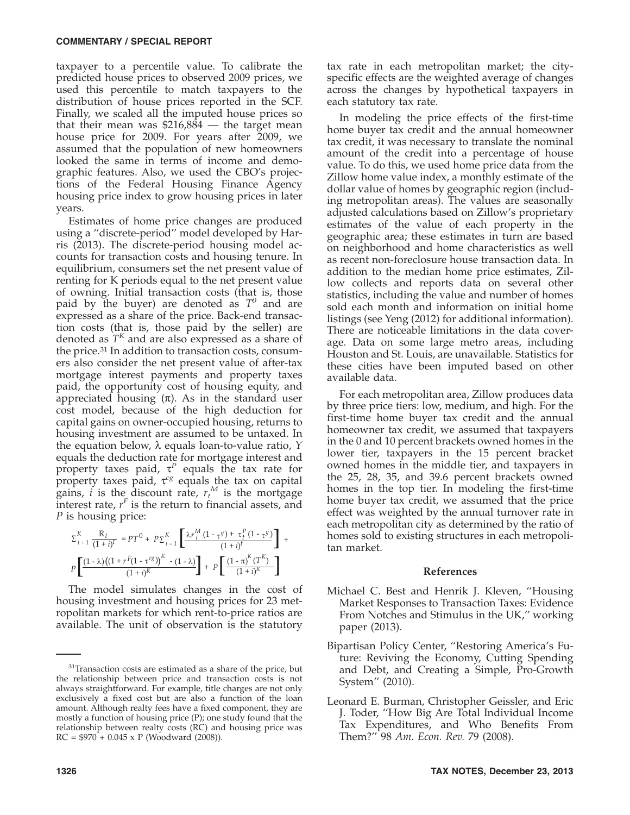taxpayer to a percentile value. To calibrate the predicted house prices to observed 2009 prices, we used this percentile to match taxpayers to the distribution of house prices reported in the SCF. Finally, we scaled all the imputed house prices so that their mean was \$216,884 — the target mean house price for 2009. For years after 2009, we assumed that the population of new homeowners looked the same in terms of income and demographic features. Also, we used the CBO's projections of the Federal Housing Finance Agency housing price index to grow housing prices in later years.

Estimates of home price changes are produced using a ''discrete-period'' model developed by Harris (2013). The discrete-period housing model accounts for transaction costs and housing tenure. In equilibrium, consumers set the net present value of renting for K periods equal to the net present value of owning. Initial transaction costs (that is, those paid by the buyer) are denoted as  $T^0$  and are expressed as a share of the price. Back-end transaction costs (that is, those paid by the seller) are denoted as *T<sup>K</sup>* and are also expressed as a share of the price.<sup>31</sup> In addition to transaction costs, consumers also consider the net present value of after-tax mortgage interest payments and property taxes paid, the opportunity cost of housing equity, and appreciated housing (π). As in the standard user cost model, because of the high deduction for capital gains on owner-occupied housing, returns to housing investment are assumed to be untaxed. In the equation below, λ equals loan-to-value ratio, *Y* equals the deduction rate for mortgage interest and property taxes paid,  $\tau^P$  equals the tax rate for property taxes paid,  $\tau^{cg}$  equals the tax on capital gains, *i* is the discount rate,  $r_t^M$  is the mortgage interest rate,  $r<sup>F</sup>$  is the return to financial assets, and *P* is housing price:

$$
\begin{aligned} \boldsymbol{\Sigma}_{t=1}^K \, &\frac{\mathbf{R}_t}{(1+i)^t} = \boldsymbol{p} T^0 + \, \boldsymbol{p} \, \boldsymbol{\Sigma}_{t=1}^K \left[ \frac{\lambda \boldsymbol{r}_t^M \, (1-\tau^y) + \tau_t^P \, (1-\tau^y)}{(1+i)^t} \right] \, + \\ &\boldsymbol{p} \left[ \frac{(1-\lambda) \big( (1+r^F (1-\tau^{cg}) \big)^K \, - \, (1-\lambda) \big)}{(1+i)^K} \right] + \, \boldsymbol{p} \left[ \frac{(1-\pi)^K \, (T^K)}{(1+i)^K} \right] \end{aligned}
$$

The model simulates changes in the cost of housing investment and housing prices for 23 metropolitan markets for which rent-to-price ratios are available. The unit of observation is the statutory tax rate in each metropolitan market; the cityspecific effects are the weighted average of changes across the changes by hypothetical taxpayers in each statutory tax rate.

In modeling the price effects of the first-time home buyer tax credit and the annual homeowner tax credit, it was necessary to translate the nominal amount of the credit into a percentage of house value. To do this, we used home price data from the Zillow home value index, a monthly estimate of the dollar value of homes by geographic region (including metropolitan areas). The values are seasonally adjusted calculations based on Zillow's proprietary estimates of the value of each property in the geographic area; these estimates in turn are based on neighborhood and home characteristics as well as recent non-foreclosure house transaction data. In addition to the median home price estimates, Zillow collects and reports data on several other statistics, including the value and number of homes sold each month and information on initial home listings (see Yeng (2012) for additional information). There are noticeable limitations in the data coverage. Data on some large metro areas, including Houston and St. Louis, are unavailable. Statistics for these cities have been imputed based on other available data.

For each metropolitan area, Zillow produces data by three price tiers: low, medium, and high. For the first-time home buyer tax credit and the annual homeowner tax credit, we assumed that taxpayers in the 0 and 10 percent brackets owned homes in the lower tier, taxpayers in the 15 percent bracket owned homes in the middle tier, and taxpayers in the 25, 28, 35, and 39.6 percent brackets owned homes in the top tier. In modeling the first-time home buyer tax credit, we assumed that the price effect was weighted by the annual turnover rate in each metropolitan city as determined by the ratio of homes sold to existing structures in each metropolitan market.

## **References**

- Michael C. Best and Henrik J. Kleven, ''Housing Market Responses to Transaction Taxes: Evidence From Notches and Stimulus in the UK,'' working paper (2013).
- Bipartisan Policy Center, ''Restoring America's Future: Reviving the Economy, Cutting Spending and Debt, and Creating a Simple, Pro-Growth System'' (2010).
- Leonard E. Burman, Christopher Geissler, and Eric J. Toder, ''How Big Are Total Individual Income Tax Expenditures, and Who Benefits From Them?'' 98 *Am. Econ. Rev.* 79 (2008).

 $31$ Transaction costs are estimated as a share of the price, but the relationship between price and transaction costs is not always straightforward. For example, title charges are not only exclusively a fixed cost but are also a function of the loan amount. Although realty fees have a fixed component, they are mostly a function of housing price (P); one study found that the relationship between realty costs (RC) and housing price was  $RC = $970 + 0.045 \times P$  (Woodward (2008)).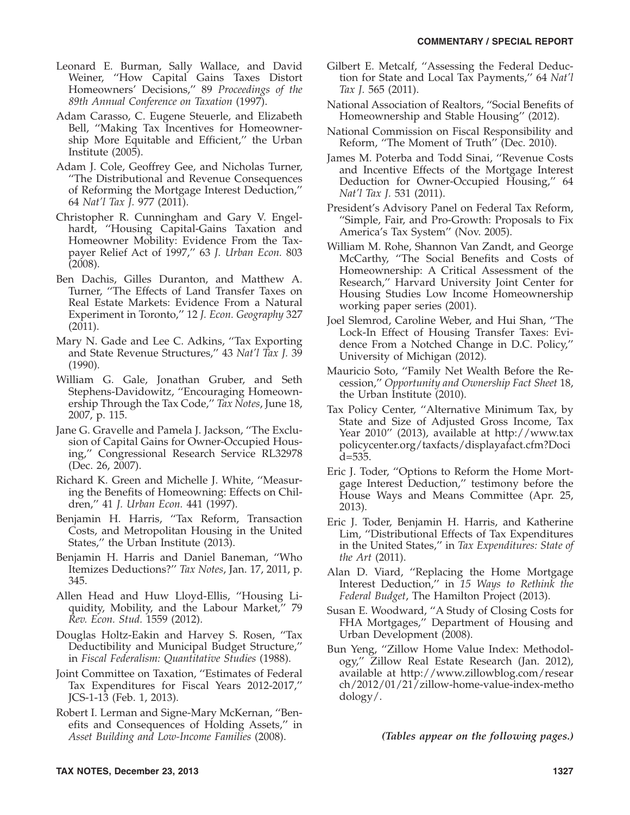- Leonard E. Burman, Sally Wallace, and David Weiner, ''How Capital Gains Taxes Distort Homeowners' Decisions,'' 89 *Proceedings of the 89th Annual Conference on Taxation* (1997).
- Adam Carasso, C. Eugene Steuerle, and Elizabeth Bell, ''Making Tax Incentives for Homeownership More Equitable and Efficient,'' the Urban Institute (2005).
- Adam J. Cole, Geoffrey Gee, and Nicholas Turner, ''The Distributional and Revenue Consequences of Reforming the Mortgage Interest Deduction,'' 64 *Nat'l Tax J.* 977 (2011).
- Christopher R. Cunningham and Gary V. Engelhardt, ''Housing Capital-Gains Taxation and Homeowner Mobility: Evidence From the Taxpayer Relief Act of 1997,'' 63 *J. Urban Econ.* 803 (2008).
- Ben Dachis, Gilles Duranton, and Matthew A. Turner, ''The Effects of Land Transfer Taxes on Real Estate Markets: Evidence From a Natural Experiment in Toronto,'' 12 *J. Econ. Geography* 327 (2011).
- Mary N. Gade and Lee C. Adkins, ''Tax Exporting and State Revenue Structures,'' 43 *Nat'l Tax J.* 39 (1990).
- William G. Gale, Jonathan Gruber, and Seth Stephens-Davidowitz, ''Encouraging Homeownership Through the Tax Code,'' *Tax Notes*, June 18, 2007, p. 115.
- Jane G. Gravelle and Pamela J. Jackson, ''The Exclusion of Capital Gains for Owner-Occupied Housing,'' Congressional Research Service RL32978 (Dec. 26, 2007).
- Richard K. Green and Michelle J. White, ''Measuring the Benefits of Homeowning: Effects on Children,'' 41 *J. Urban Econ.* 441 (1997).
- Benjamin H. Harris, ''Tax Reform, Transaction Costs, and Metropolitan Housing in the United States,'' the Urban Institute (2013).
- Benjamin H. Harris and Daniel Baneman, ''Who Itemizes Deductions?'' *Tax Notes*, Jan. 17, 2011, p. 345.
- Allen Head and Huw Lloyd-Ellis, ''Housing Liquidity, Mobility, and the Labour Market,'' 79 *Rev. Econ. Stud.* 1559 (2012).
- Douglas Holtz-Eakin and Harvey S. Rosen, ''Tax Deductibility and Municipal Budget Structure,'' in *Fiscal Federalism: Quantitative Studies* (1988).
- Joint Committee on Taxation, ''Estimates of Federal Tax Expenditures for Fiscal Years 2012-2017,'' JCS-1-13 (Feb. 1, 2013).
- Robert I. Lerman and Signe-Mary McKernan, ''Benefits and Consequences of Holding Assets,'' in *Asset Building and Low-Income Families* (2008).
- Gilbert E. Metcalf, ''Assessing the Federal Deduction for State and Local Tax Payments,'' 64 *Nat'l Tax J.* 565 (2011).
- National Association of Realtors, ''Social Benefits of Homeownership and Stable Housing'' (2012).
- National Commission on Fiscal Responsibility and Reform, ''The Moment of Truth'' (Dec. 2010).
- James M. Poterba and Todd Sinai, ''Revenue Costs and Incentive Effects of the Mortgage Interest Deduction for Owner-Occupied Housing,'' 64 *Nat'l Tax J.* 531 (2011).
- President's Advisory Panel on Federal Tax Reform, ''Simple, Fair, and Pro-Growth: Proposals to Fix America's Tax System'' (Nov. 2005).
- William M. Rohe, Shannon Van Zandt, and George McCarthy, ''The Social Benefits and Costs of Homeownership: A Critical Assessment of the Research,'' Harvard University Joint Center for Housing Studies Low Income Homeownership working paper series (2001).
- Joel Slemrod, Caroline Weber, and Hui Shan, ''The Lock-In Effect of Housing Transfer Taxes: Evidence From a Notched Change in D.C. Policy,'' University of Michigan (2012).
- Mauricio Soto, ''Family Net Wealth Before the Recession,'' *Opportunity and Ownership Fact Sheet* 18, the Urban Institute (2010).
- Tax Policy Center, ''Alternative Minimum Tax, by State and Size of Adjusted Gross Income, Tax Year 2010'' (2013), available at http://www.tax policycenter.org/taxfacts/displayafact.cfm?Doci d=535.
- Eric J. Toder, ''Options to Reform the Home Mortgage Interest Deduction,'' testimony before the House Ways and Means Committee (Apr. 25, 2013).
- Eric J. Toder, Benjamin H. Harris, and Katherine Lim, ''Distributional Effects of Tax Expenditures in the United States,'' in *Tax Expenditures: State of the Art* (2011).
- Alan D. Viard, ''Replacing the Home Mortgage Interest Deduction,'' in *15 Ways to Rethink the Federal Budget*, The Hamilton Project (2013).
- Susan E. Woodward, ''A Study of Closing Costs for FHA Mortgages,'' Department of Housing and Urban Development (2008).
- Bun Yeng, ''Zillow Home Value Index: Methodology,'' Zillow Real Estate Research (Jan. 2012), available at http://www.zillowblog.com/resear ch/2012/01/21/zillow-home-value-index-metho dology/.

*(Tables appear on the following pages.)*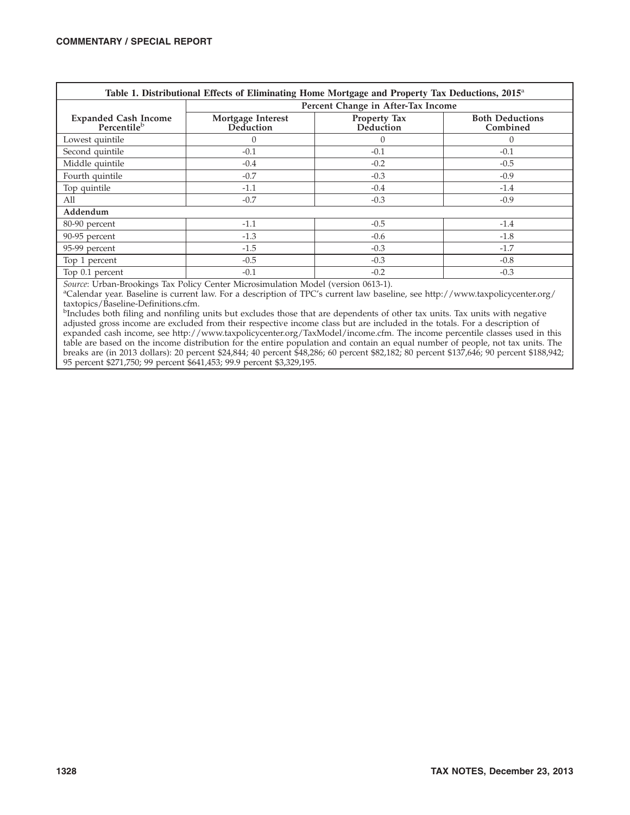| Table 1. Distributional Effects of Eliminating Home Mortgage and Property Tax Deductions, 2015 <sup>a</sup> |                                    |                                  |                                    |  |  |  |  |  |  |  |
|-------------------------------------------------------------------------------------------------------------|------------------------------------|----------------------------------|------------------------------------|--|--|--|--|--|--|--|
|                                                                                                             | Percent Change in After-Tax Income |                                  |                                    |  |  |  |  |  |  |  |
| Expanded Cash Income<br>Percentile <sup>b</sup>                                                             | Mortgage Interest<br>Deduction     | <b>Property Tax</b><br>Deduction | <b>Both Deductions</b><br>Combined |  |  |  |  |  |  |  |
| Lowest quintile                                                                                             | $\theta$                           | $\Omega$                         | $\Omega$                           |  |  |  |  |  |  |  |
| Second quintile                                                                                             | $-0.1$                             | $-0.1$                           | $-0.1$                             |  |  |  |  |  |  |  |
| Middle quintile                                                                                             | $-0.4$                             | $-0.2$                           | $-0.5$                             |  |  |  |  |  |  |  |
| Fourth quintile                                                                                             | $-0.7$                             | $-0.3$                           | $-0.9$                             |  |  |  |  |  |  |  |
| Top quintile                                                                                                | $-1.1$                             | $-0.4$                           | $-1.4$                             |  |  |  |  |  |  |  |
| All                                                                                                         | $-0.7$                             | $-0.3$                           | $-0.9$                             |  |  |  |  |  |  |  |
| Addendum                                                                                                    |                                    |                                  |                                    |  |  |  |  |  |  |  |
| 80-90 percent                                                                                               | $-1.1$                             | $-0.5$                           | $-1.4$                             |  |  |  |  |  |  |  |
| 90-95 percent                                                                                               | $-1.3$                             | $-0.6$                           | $-1.8$                             |  |  |  |  |  |  |  |
| 95-99 percent                                                                                               | $-1.5$                             | $-0.3$                           | $-1.7$                             |  |  |  |  |  |  |  |
| Top 1 percent                                                                                               | $-0.5$                             | $-0.3$                           | $-0.8$                             |  |  |  |  |  |  |  |
| Top 0.1 percent                                                                                             | $-0.1$                             | $-0.2$                           | $-0.3$                             |  |  |  |  |  |  |  |

Calendar year. Baseline is current law. For a description of TPC's current law baseline, see http://www.taxpolicycenter.org/ taxtopics/Baseline-Definitions.cfm.

<sup>b</sup>Includes both filing and nonfiling units but excludes those that are dependents of other tax units. Tax units with negative adjusted gross income are excluded from their respective income class but are included in the totals. For a description of expanded cash income, see http://www.taxpolicycenter.org/TaxModel/income.cfm. The income percentile classes used in this table are based on the income distribution for the entire population and contain an equal number of people, not tax units. The breaks are (in 2013 dollars): 20 percent \$24,844; 40 percent \$48,286; 60 percent \$82,182; 80 percent \$137,646; 90 percent \$188,942; 95 percent \$271,750; 99 percent \$641,453; 99.9 percent \$3,329,195.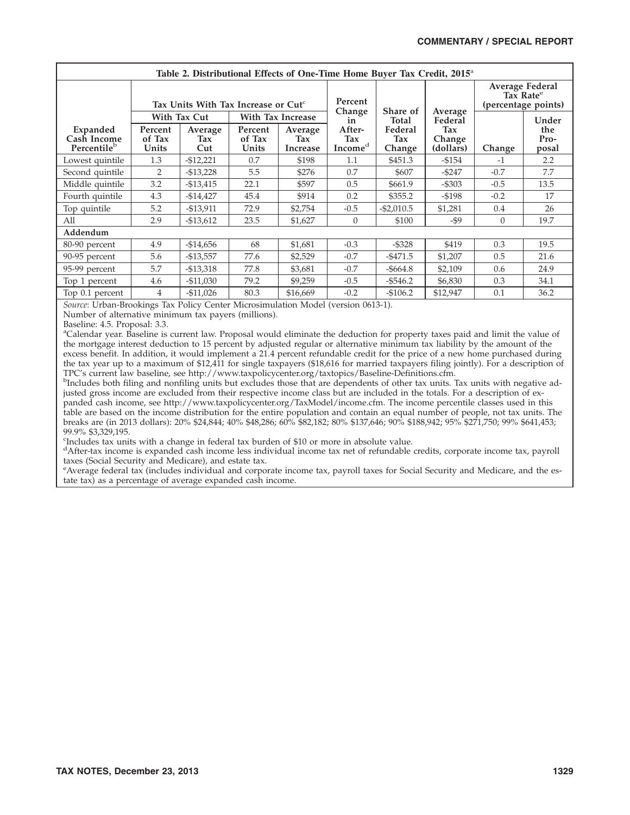| Table 2. Distributional Effects of One-Time Home Buyer Tax Credit, 2015 <sup>a</sup> |                                                                                                 |                                                |                            |                                   |                                            |                          |                                                                        |          |                      |  |  |
|--------------------------------------------------------------------------------------|-------------------------------------------------------------------------------------------------|------------------------------------------------|----------------------------|-----------------------------------|--------------------------------------------|--------------------------|------------------------------------------------------------------------|----------|----------------------|--|--|
|                                                                                      | Tax Units With Tax Increase or $\mathsf{Cut}^{\mathsf{c}}$<br>With Tax Cut<br>With Tax Increase |                                                |                            | Percent                           |                                            |                          | <b>Average Federal</b><br>Tax Rate <sup>e</sup><br>(percentage points) |          |                      |  |  |
|                                                                                      |                                                                                                 |                                                |                            | Change<br>in                      | Share of<br>Total                          | Average<br>Federal       |                                                                        | Under    |                      |  |  |
| Expanded<br>Cash Income<br>Percentileb                                               | Percent<br>of Tax<br>Units                                                                      | Average<br>Tax<br>Cut                          | Percent<br>of Tax<br>Units | Average<br>Tax<br><b>Increase</b> | After-<br>Tax<br>$\mathbf{Income}^{\rm d}$ | Federal<br>Tax<br>Change | Tax<br>Change<br>(dollars)                                             | Change   | the<br>Pro-<br>posal |  |  |
| Lowest quintile                                                                      | 1.3                                                                                             | $-$12,221$                                     | 0.7                        | \$198                             | 1.1                                        | \$451.3                  | $-$154$                                                                | -1       | 2.2                  |  |  |
| Second quintile                                                                      | 2                                                                                               | $-$13,228$                                     | 5.5                        | \$276                             | 0.7                                        | \$607                    | $-$ \$247                                                              | $-0.7$   | 7.7                  |  |  |
| Middle quintile                                                                      | 3.2                                                                                             | $-$13,415$                                     | 22.1                       | \$597                             | 0.5                                        | \$661.9                  | $-$ \$303                                                              | $-0.5$   | 13.5                 |  |  |
| Fourth quintile                                                                      | 4.3                                                                                             | $-$14,427$                                     | 45.4                       | \$914                             | 0.2                                        | \$355.2                  | $- $198$                                                               | $-0.2$   | 17                   |  |  |
| Top quintile                                                                         | 5.2                                                                                             | $-$13,911$                                     | 72.9                       | \$2,754                           | $-0.5$                                     | $- $2,010.5$             | \$1,281                                                                | 0.4      | 26                   |  |  |
| All                                                                                  | 2.9                                                                                             | $-$13,612$                                     | 23.5                       | \$1,627                           | $\Omega$                                   | \$100                    | -\$9                                                                   | $\Omega$ | 19.7                 |  |  |
| Addendum                                                                             |                                                                                                 |                                                |                            |                                   |                                            |                          |                                                                        |          |                      |  |  |
| 80-90 percent                                                                        | 4.9                                                                                             | $-$14,656$                                     | 68                         | \$1,681                           | $-0.3$                                     | $-$ \$328                | \$419                                                                  | 0.3      | 19.5                 |  |  |
| 90-95 percent                                                                        | 5.6                                                                                             | $-$13,557$                                     | 77.6                       | \$2,529                           | $-0.7$                                     | $-5471.5$                | \$1,207                                                                | 0.5      | 21.6                 |  |  |
| 95-99 percent                                                                        | 5.7                                                                                             | $-$13,318$                                     | 77.8                       | \$3,681                           | $-0.7$                                     | $-$ \$664.8              | \$2,109                                                                | 0.6      | 24.9                 |  |  |
| Top 1 percent                                                                        | 4.6                                                                                             | $-$11,030$                                     | 79.2                       | \$9,259                           | $-0.5$                                     | $-5546.2$                | \$6,830                                                                | 0.3      | 34.1                 |  |  |
| Top 0.1 percent<br>$\mathbf{r}$ $\mathbf{r}$<br>$T$ $T$ $T$                          | <b>COLL</b>                                                                                     | $-$11,026$<br>$\sim$ $\sim$ $\sim$<br>$T^2$ 1. | 80.3                       | \$16,669                          | $-0.2$                                     | $-$106.2$<br>0/40.45     | \$12,947                                                               | 0.1      | 36.2                 |  |  |

Number of alternative minimum tax payers (millions).

Baseline: 4.5. Proposal: 3.3.

<sup>a</sup>Calendar year. Baseline is current law. Proposal would eliminate the deduction for property taxes paid and limit the value of the mortgage interest deduction to 15 percent by adjusted regular or alternative minimum tax liability by the amount of the excess benefit. In addition, it would implement a 21.4 percent refundable credit for the price of a new home purchased during the tax year up to a maximum of \$12,411 for single taxpayers (\$18,616 for married taxpayers filing jointly). For a description of TPC's current law baseline, see http://www.taxpolicycenter.org/taxtopics/Baseline-Definitions.cfm.

<sup>b</sup>Includes both filing and nonfiling units but excludes those that are dependents of other tax units. Tax units with negative adjusted gross income are excluded from their respective income class but are included in the totals. For a description of expanded cash income, see http://www.taxpolicycenter.org/TaxModel/income.cfm. The income percentile classes used in this table are based on the income distribution for the entire population and contain an equal number of people, not tax units. The breaks are (in 2013 dollars): 20% \$24,844; 40% \$48,286; 60% \$82,182; 80% \$137,646; 90% \$188,942; 95% \$271,750; 99% \$641,453; 99.9% \$3,329,195.

c Includes tax units with a change in federal tax burden of \$10 or more in absolute value.

d After-tax income is expanded cash income less individual income tax net of refundable credits, corporate income tax, payroll taxes (Social Security and Medicare), and estate tax.

e Average federal tax (includes individual and corporate income tax, payroll taxes for Social Security and Medicare, and the estate tax) as a percentage of average expanded cash income.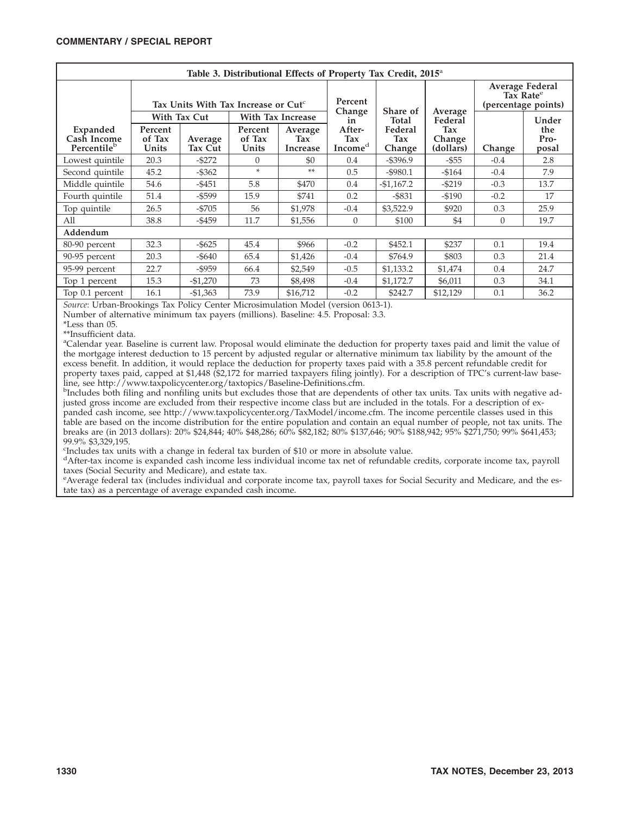| Table 3. Distributional Effects of Property Tax Credit, 2015 <sup>a</sup>                                                                                                                                                    |                                                 |                                   |                            |                                   |                                      |                          |                            |                                                                 |                      |  |  |
|------------------------------------------------------------------------------------------------------------------------------------------------------------------------------------------------------------------------------|-------------------------------------------------|-----------------------------------|----------------------------|-----------------------------------|--------------------------------------|--------------------------|----------------------------|-----------------------------------------------------------------|----------------------|--|--|
|                                                                                                                                                                                                                              | Tax Units With Tax Increase or Cut <sup>c</sup> |                                   |                            |                                   | Percent                              |                          |                            | Average Federal<br>Tax Rate <sup>e</sup><br>(percentage points) |                      |  |  |
|                                                                                                                                                                                                                              |                                                 | With Tax Cut<br>With Tax Increase |                            |                                   | Change<br>in                         | Share of<br>Total        | Average<br>Federal         |                                                                 | Under                |  |  |
| Expanded<br>Cash Income<br>Percentile <sup>b</sup>                                                                                                                                                                           | Percent<br>of Tax<br>Units                      | Average<br>Tax Cut                | Percent<br>of Tax<br>Units | Average<br>Tax<br><b>Increase</b> | After-<br>Tax<br>Income <sup>d</sup> | Federal<br>Tax<br>Change | Tax<br>Change<br>(dollars) | Change                                                          | the<br>Pro-<br>posal |  |  |
| Lowest quintile                                                                                                                                                                                                              | 20.3                                            | $-$ \$272                         | $\Omega$                   | \$0                               | 0.4                                  | $-$ \$396.9              | $-$ \$55                   | $-0.4$                                                          | 2.8                  |  |  |
| Second quintile                                                                                                                                                                                                              | 45.2                                            | $-$ \$362                         | $\ast$                     | $**$                              | 0.5                                  | $-$ \$980.1              | $-$ \$164                  | $-0.4$                                                          | 7.9                  |  |  |
| Middle quintile                                                                                                                                                                                                              | 54.6                                            | $-5451$                           | 5.8                        | \$470                             | 0.4                                  | $-$1,167.2$              | $-5219$                    | $-0.3$                                                          | 13.7                 |  |  |
| Fourth quintile                                                                                                                                                                                                              | 51.4                                            | $-$ \$599                         | 15.9                       | \$741                             | 0.2                                  | $-$ \$831                | $-$190$                    | $-0.2$                                                          | 17                   |  |  |
| Top quintile                                                                                                                                                                                                                 | 26.5                                            | $-5705$                           | 56                         | \$1,978                           | $-0.4$                               | \$3,522.9                | \$920                      | 0.3                                                             | 25.9                 |  |  |
| All                                                                                                                                                                                                                          | 38.8                                            | $-$ \$459                         | 11.7                       | \$1,556                           | $\Omega$                             | \$100                    | \$4                        | $\Omega$                                                        | 19.7                 |  |  |
| Addendum                                                                                                                                                                                                                     |                                                 |                                   |                            |                                   |                                      |                          |                            |                                                                 |                      |  |  |
| 80-90 percent                                                                                                                                                                                                                | 32.3                                            | $-$ \$625                         | 45.4                       | \$966                             | $-0.2$                               | \$452.1                  | \$237                      | 0.1                                                             | 19.4                 |  |  |
| 90-95 percent                                                                                                                                                                                                                | 20.3                                            | -\$640                            | 65.4                       | \$1,426                           | $-0.4$                               | \$764.9                  | \$803                      | 0.3                                                             | 21.4                 |  |  |
| 95-99 percent                                                                                                                                                                                                                | 22.7                                            | $-$ \$959                         | 66.4                       | \$2,549                           | $-0.5$                               | \$1,133.2                | \$1,474                    | 0.4                                                             | 24.7                 |  |  |
| Top 1 percent                                                                                                                                                                                                                | 15.3                                            | $-$1,270$                         | 73                         | \$8,498                           | $-0.4$                               | \$1,172.7                | \$6,011                    | 0.3                                                             | 34.1                 |  |  |
| Top 0.1 percent                                                                                                                                                                                                              | 16.1                                            | $-$1,363$                         | 73.9                       | \$16,712                          | $-0.2$                               | \$242.7                  | \$12,129                   | 0.1                                                             | 36.2                 |  |  |
| $C = \begin{bmatrix} 1 & 1 & 1 \end{bmatrix}$ in the matrix $C = \begin{bmatrix} 1 & 1 & 1 \end{bmatrix}$ in the matrix $\begin{bmatrix} 1 & 1 & 1 \end{bmatrix}$ is the matrix of $\begin{bmatrix} 1 & 1 & 1 \end{bmatrix}$ |                                                 |                                   |                            |                                   |                                      |                          |                            |                                                                 |                      |  |  |

Number of alternative minimum tax payers (millions). Baseline: 4.5. Proposal: 3.3.

\*Less than 05.

\*\*Insufficient data.

a Calendar year. Baseline is current law. Proposal would eliminate the deduction for property taxes paid and limit the value of the mortgage interest deduction to 15 percent by adjusted regular or alternative minimum tax liability by the amount of the excess benefit. In addition, it would replace the deduction for property taxes paid with a 35.8 percent refundable credit for property taxes paid, capped at \$1,448 (\$2,172 for married taxpayers filing jointly). For a description of TPC's current-law baseline, see http://www.taxpolicycenter.org/taxtopics/Baseline-Definitions.cfm.

<sup>b</sup>Includes both filing and nonfiling units but excludes those that are dependents of other tax units. Tax units with negative adjusted gross income are excluded from their respective income class but are included in the totals. For a description of expanded cash income, see http://www.taxpolicycenter.org/TaxModel/income.cfm. The income percentile classes used in this table are based on the income distribution for the entire population and contain an equal number of people, not tax units. The breaks are (in 2013 dollars): 20% \$24,844; 40% \$48,286; 60% \$82,182; 80% \$137,646; 90% \$188,942; 95% \$271,750; 99% \$641,453; 99.9% \$3,329,195.

c Includes tax units with a change in federal tax burden of \$10 or more in absolute value.

d After-tax income is expanded cash income less individual income tax net of refundable credits, corporate income tax, payroll taxes (Social Security and Medicare), and estate tax.

e Average federal tax (includes individual and corporate income tax, payroll taxes for Social Security and Medicare, and the estate tax) as a percentage of average expanded cash income.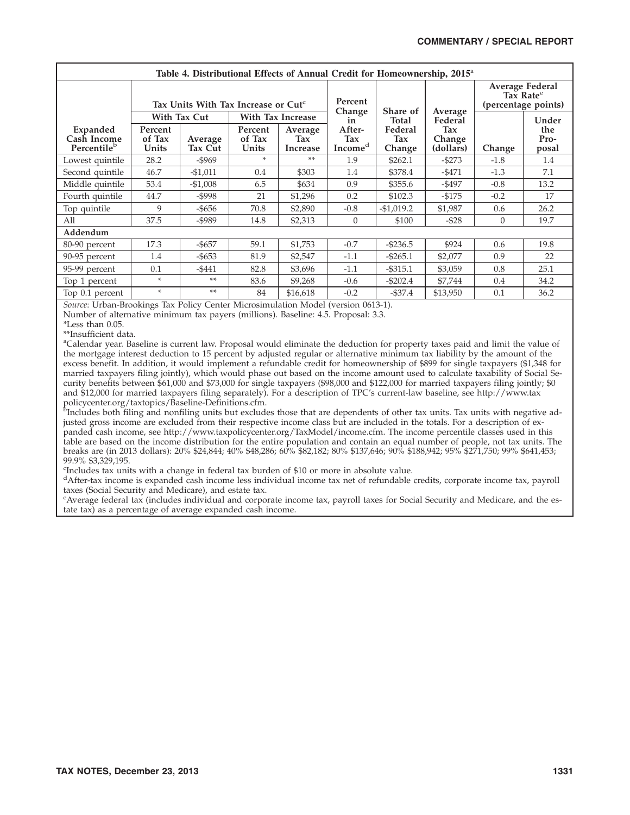| Table 4. Distributional Effects of Annual Credit for Homeownership, 2015 <sup>a</sup> |                                                 |                     |                            |                            |                          |                          |                            |                                                                 |                      |  |  |
|---------------------------------------------------------------------------------------|-------------------------------------------------|---------------------|----------------------------|----------------------------|--------------------------|--------------------------|----------------------------|-----------------------------------------------------------------|----------------------|--|--|
|                                                                                       | Tax Units With Tax Increase or Cut <sup>c</sup> |                     |                            |                            | Percent<br>Change        |                          |                            | Average Federal<br>Tax Rate <sup>e</sup><br>(percentage points) |                      |  |  |
|                                                                                       |                                                 | <b>With Tax Cut</b> | With Tax Increase          |                            |                          | Share of<br>Total        | Average<br>Federal         |                                                                 | Under                |  |  |
| Expanded<br>Cash Income<br>Percentile <sup>b</sup>                                    | Percent<br>of Tax<br>Units                      | Average<br>Tax Cut  | Percent<br>of Tax<br>Units | Average<br>Tax<br>Increase | After-<br>Tax<br>Incomed | Federal<br>Tax<br>Change | Tax<br>Change<br>(dollars) | Change                                                          | the<br>Pro-<br>posal |  |  |
| Lowest quintile                                                                       | 28.2                                            | $-$ \$969           | $\ast$                     | $**$                       | 1.9                      | \$262.1                  | $-$ \$273                  | $-1.8$                                                          | 1.4                  |  |  |
| Second quintile                                                                       | 46.7                                            | $-$1,011$           | 0.4                        | \$303                      | 1.4                      | \$378.4                  | $-5471$                    | $-1.3$                                                          | 7.1                  |  |  |
| Middle quintile                                                                       | 53.4                                            | $-$1,008$           | 6.5                        | \$634                      | 0.9                      | \$355.6                  | $-$ \$497                  | $-0.8$                                                          | 13.2                 |  |  |
| Fourth quintile                                                                       | 44.7                                            | $-$ \$998           | 21                         | \$1,296                    | 0.2                      | \$102.3                  | $-$175$                    | $-0.2$                                                          | 17                   |  |  |
| Top quintile                                                                          | 9                                               | -\$656              | 70.8                       | \$2,890                    | $-0.8$                   | $-$1,019.2$              | \$1,987                    | 0.6                                                             | 26.2                 |  |  |
| All                                                                                   | 37.5                                            | $-$ \$989           | 14.8                       | \$2,313                    | $\theta$                 | \$100                    | $-$ \$28                   | $\theta$                                                        | 19.7                 |  |  |
| Addendum                                                                              |                                                 |                     |                            |                            |                          |                          |                            |                                                                 |                      |  |  |
| 80-90 percent                                                                         | 17.3                                            | $-$ \$657           | 59.1                       | \$1,753                    | $-0.7$                   | $-$ \$236.5              | \$924                      | 0.6                                                             | 19.8                 |  |  |
| 90-95 percent                                                                         | 1.4                                             | $-$ \$653           | 81.9                       | \$2,547                    | $-1.1$                   | $- $265.1$               | \$2,077                    | 0.9                                                             | 22                   |  |  |
| 95-99 percent                                                                         | 0.1                                             | $-5441$             | 82.8                       | \$3,696                    | $-1.1$                   | $- $315.1$               | \$3,059                    | 0.8                                                             | 25.1                 |  |  |
| Top 1 percent                                                                         | $\ast$                                          | $**$                | 83.6                       | \$9,268                    | $-0.6$                   | $- $202.4$               | \$7,744                    | 0.4                                                             | 34.2                 |  |  |
| Top 0.1 percent<br>$- - -$                                                            | $\ast$                                          | **<br>$ -$          | 84<br>$\sim$ $\sim$ $\sim$ | \$16,618<br>.              | $-0.2$                   | $-$ \$37.4               | \$13,950                   | 0.1                                                             | 36.2                 |  |  |

Number of alternative minimum tax payers (millions). Baseline: 4.5. Proposal: 3.3.

\*Less than 0.05.

\*\*Insufficient data.

a Calendar year. Baseline is current law. Proposal would eliminate the deduction for property taxes paid and limit the value of the mortgage interest deduction to 15 percent by adjusted regular or alternative minimum tax liability by the amount of the excess benefit. In addition, it would implement a refundable credit for homeownership of \$899 for single taxpayers (\$1,348 for married taxpayers filing jointly), which would phase out based on the income amount used to calculate taxability of Social Security benefits between \$61,000 and \$73,000 for single taxpayers (\$98,000 and \$122,000 for married taxpayers filing jointly; \$0 and \$12,000 for married taxpayers filing separately). For a description of TPC's current-law baseline, see http://www.tax

policycenter.org/taxtopics/Baseline-Definitions.cfm.<br><sup>b</sup>Includes both filing and nonfiling units but excludes those that are dependents of other tax units. Tax units with negative adjusted gross income are excluded from their respective income class but are included in the totals. For a description of expanded cash income, see http://www.taxpolicycenter.org/TaxModel/income.cfm. The income percentile classes used in this table are based on the income distribution for the entire population and contain an equal number of people, not tax units. The breaks are (in 2013 dollars): 20% \$24,844; 40% \$48,286; 60% \$82,182; 80% \$137,646; 90% \$188,942; 95% \$271,750; 99% \$641,453; 99.9% \$3,329,195.

c Includes tax units with a change in federal tax burden of \$10 or more in absolute value.

d After-tax income is expanded cash income less individual income tax net of refundable credits, corporate income tax, payroll taxes (Social Security and Medicare), and estate tax.

e Average federal tax (includes individual and corporate income tax, payroll taxes for Social Security and Medicare, and the estate tax) as a percentage of average expanded cash income.